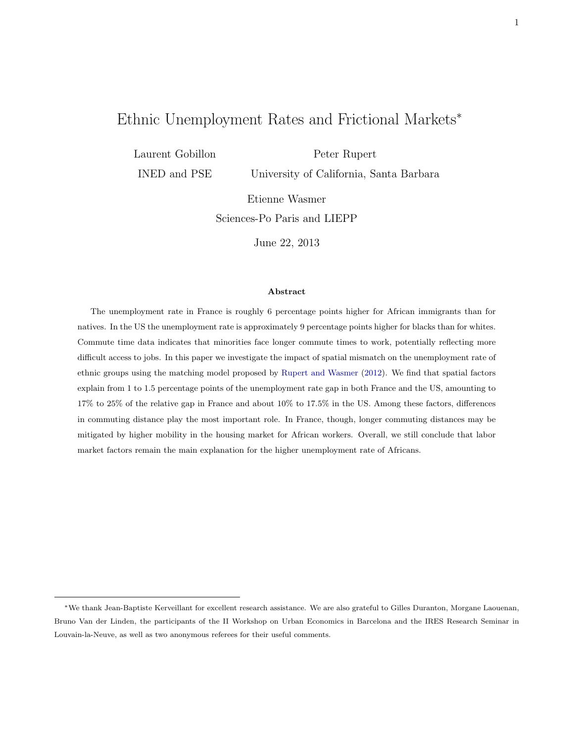# <span id="page-0-0"></span>Ethnic Unemployment Rates and Frictional Markets<sup>∗</sup>

Laurent Gobillon INED and PSE

Peter Rupert University of California, Santa Barbara

Etienne Wasmer Sciences-Po Paris and LIEPP

June 22, 2013

#### Abstract

The unemployment rate in France is roughly 6 percentage points higher for African immigrants than for natives. In the US the unemployment rate is approximately 9 percentage points higher for blacks than for whites. Commute time data indicates that minorities face longer commute times to work, potentially reflecting more difficult access to jobs. In this paper we investigate the impact of spatial mismatch on the unemployment rate of ethnic groups using the matching model proposed by [Rupert and Wasmer](#page-33-0) [\(2012\)](#page-33-0). We find that spatial factors explain from 1 to 1.5 percentage points of the unemployment rate gap in both France and the US, amounting to 17% to 25% of the relative gap in France and about 10% to 17.5% in the US. Among these factors, differences in commuting distance play the most important role. In France, though, longer commuting distances may be mitigated by higher mobility in the housing market for African workers. Overall, we still conclude that labor market factors remain the main explanation for the higher unemployment rate of Africans.

<sup>∗</sup>We thank Jean-Baptiste Kerveillant for excellent research assistance. We are also grateful to Gilles Duranton, Morgane Laouenan, Bruno Van der Linden, the participants of the II Workshop on Urban Economics in Barcelona and the IRES Research Seminar in Louvain-la-Neuve, as well as two anonymous referees for their useful comments.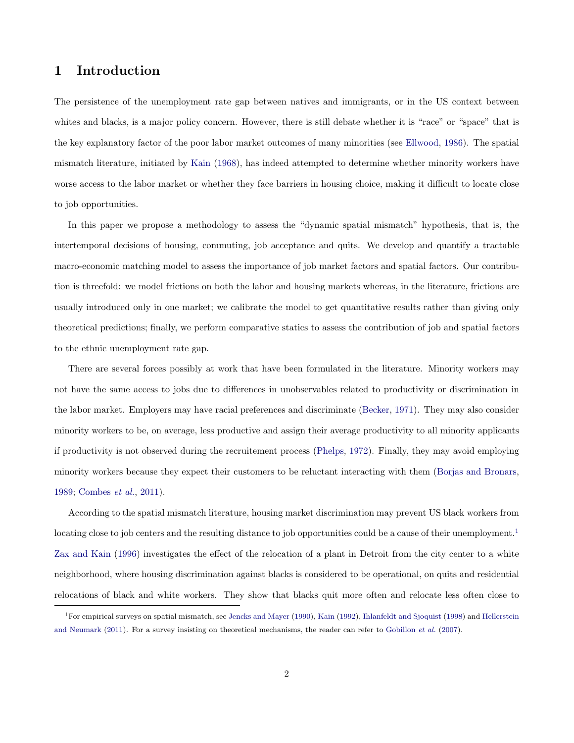### <span id="page-1-1"></span>1 Introduction

The persistence of the unemployment rate gap between natives and immigrants, or in the US context between whites and blacks, is a major policy concern. However, there is still debate whether it is "race" or "space" that is the key explanatory factor of the poor labor market outcomes of many minorities (see [Ellwood,](#page-31-0) [1986\)](#page-31-0). The spatial mismatch literature, initiated by [Kain](#page-32-0) [\(1968\)](#page-32-0), has indeed attempted to determine whether minority workers have worse access to the labor market or whether they face barriers in housing choice, making it difficult to locate close to job opportunities.

In this paper we propose a methodology to assess the "dynamic spatial mismatch" hypothesis, that is, the intertemporal decisions of housing, commuting, job acceptance and quits. We develop and quantify a tractable macro-economic matching model to assess the importance of job market factors and spatial factors. Our contribution is threefold: we model frictions on both the labor and housing markets whereas, in the literature, frictions are usually introduced only in one market; we calibrate the model to get quantitative results rather than giving only theoretical predictions; finally, we perform comparative statics to assess the contribution of job and spatial factors to the ethnic unemployment rate gap.

There are several forces possibly at work that have been formulated in the literature. Minority workers may not have the same access to jobs due to differences in unobservables related to productivity or discrimination in the labor market. Employers may have racial preferences and discriminate [\(Becker,](#page-31-1) [1971\)](#page-31-1). They may also consider minority workers to be, on average, less productive and assign their average productivity to all minority applicants if productivity is not observed during the recruitement process [\(Phelps,](#page-33-1) [1972\)](#page-33-1). Finally, they may avoid employing minority workers because they expect their customers to be reluctant interacting with them [\(Borjas and Bronars,](#page-31-2) [1989;](#page-31-2) [Combes](#page-31-3) et al., [2011\)](#page-31-3).

According to the spatial mismatch literature, housing market discrimination may prevent US black workers from locating close to job centers and the resulting distance to job opportunities could be a cause of their unemployment.<sup>[1](#page-1-0)</sup> [Zax and Kain](#page-33-2) [\(1996\)](#page-33-2) investigates the effect of the relocation of a plant in Detroit from the city center to a white neighborhood, where housing discrimination against blacks is considered to be operational, on quits and residential relocations of black and white workers. They show that blacks quit more often and relocate less often close to

<span id="page-1-0"></span><sup>1</sup>For empirical surveys on spatial mismatch, see [Jencks and Mayer](#page-32-1) [\(1990\)](#page-32-1), [Kain](#page-32-2) [\(1992\)](#page-32-2), [Ihlanfeldt and Sjoquist](#page-32-3) [\(1998\)](#page-32-3) and [Hellerstein](#page-32-4) [and Neumark](#page-32-4) [\(2011\)](#page-32-4). For a survey insisting on theoretical mechanisms, the reader can refer to [Gobillon](#page-32-5) et al. [\(2007\)](#page-32-5).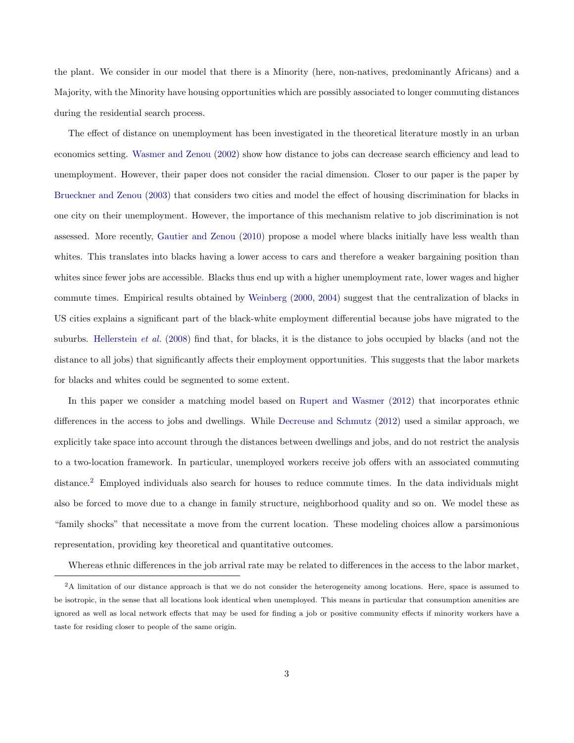the plant. We consider in our model that there is a Minority (here, non-natives, predominantly Africans) and a Majority, with the Minority have housing opportunities which are possibly associated to longer commuting distances during the residential search process.

The effect of distance on unemployment has been investigated in the theoretical literature mostly in an urban economics setting. [Wasmer and Zenou](#page-33-3) [\(2002\)](#page-33-3) show how distance to jobs can decrease search efficiency and lead to unemployment. However, their paper does not consider the racial dimension. Closer to our paper is the paper by [Brueckner and Zenou](#page-31-4) [\(2003\)](#page-31-4) that considers two cities and model the effect of housing discrimination for blacks in one city on their unemployment. However, the importance of this mechanism relative to job discrimination is not assessed. More recently, [Gautier and Zenou](#page-32-6) [\(2010\)](#page-32-6) propose a model where blacks initially have less wealth than whites. This translates into blacks having a lower access to cars and therefore a weaker bargaining position than whites since fewer jobs are accessible. Blacks thus end up with a higher unemployment rate, lower wages and higher commute times. Empirical results obtained by [Weinberg](#page-33-4) [\(2000,](#page-33-4) [2004\)](#page-33-5) suggest that the centralization of blacks in US cities explains a significant part of the black-white employment differential because jobs have migrated to the suburbs. [Hellerstein](#page-32-7) *et al.* [\(2008\)](#page-32-7) find that, for blacks, it is the distance to jobs occupied by blacks (and not the distance to all jobs) that significantly affects their employment opportunities. This suggests that the labor markets for blacks and whites could be segmented to some extent.

In this paper we consider a matching model based on [Rupert and Wasmer](#page-33-0) [\(2012\)](#page-33-0) that incorporates ethnic differences in the access to jobs and dwellings. While [Decreuse and Schmutz](#page-31-5) [\(2012\)](#page-31-5) used a similar approach, we explicitly take space into account through the distances between dwellings and jobs, and do not restrict the analysis to a two-location framework. In particular, unemployed workers receive job offers with an associated commuting distance.[2](#page-2-0) Employed individuals also search for houses to reduce commute times. In the data individuals might also be forced to move due to a change in family structure, neighborhood quality and so on. We model these as "family shocks" that necessitate a move from the current location. These modeling choices allow a parsimonious representation, providing key theoretical and quantitative outcomes.

<span id="page-2-0"></span>Whereas ethnic differences in the job arrival rate may be related to differences in the access to the labor market,

<sup>&</sup>lt;sup>2</sup>A limitation of our distance approach is that we do not consider the heterogeneity among locations. Here, space is assumed to be isotropic, in the sense that all locations look identical when unemployed. This means in particular that consumption amenities are ignored as well as local network effects that may be used for finding a job or positive community effects if minority workers have a taste for residing closer to people of the same origin.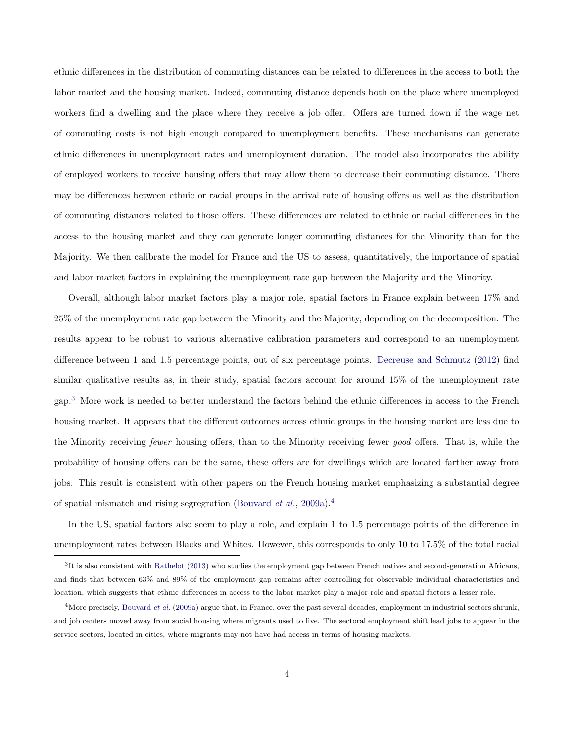ethnic differences in the distribution of commuting distances can be related to differences in the access to both the labor market and the housing market. Indeed, commuting distance depends both on the place where unemployed workers find a dwelling and the place where they receive a job offer. Offers are turned down if the wage net of commuting costs is not high enough compared to unemployment benefits. These mechanisms can generate ethnic differences in unemployment rates and unemployment duration. The model also incorporates the ability of employed workers to receive housing offers that may allow them to decrease their commuting distance. There may be differences between ethnic or racial groups in the arrival rate of housing offers as well as the distribution of commuting distances related to those offers. These differences are related to ethnic or racial differences in the access to the housing market and they can generate longer commuting distances for the Minority than for the Majority. We then calibrate the model for France and the US to assess, quantitatively, the importance of spatial and labor market factors in explaining the unemployment rate gap between the Majority and the Minority.

Overall, although labor market factors play a major role, spatial factors in France explain between 17% and 25% of the unemployment rate gap between the Minority and the Majority, depending on the decomposition. The results appear to be robust to various alternative calibration parameters and correspond to an unemployment difference between 1 and 1.5 percentage points, out of six percentage points. [Decreuse and Schmutz](#page-31-5) [\(2012\)](#page-31-5) find similar qualitative results as, in their study, spatial factors account for around 15% of the unemployment rate gap.[3](#page-3-0) More work is needed to better understand the factors behind the ethnic differences in access to the French housing market. It appears that the different outcomes across ethnic groups in the housing market are less due to the Minority receiving fewer housing offers, than to the Minority receiving fewer good offers. That is, while the probability of housing offers can be the same, these offers are for dwellings which are located farther away from jobs. This result is consistent with other papers on the French housing market emphasizing a substantial degree of spatial mismatch and rising segregration [\(Bouvard](#page-31-6) *et al.*, [2009a\)](#page-31-6).<sup>[4](#page-3-1)</sup>

In the US, spatial factors also seem to play a role, and explain 1 to 1.5 percentage points of the difference in unemployment rates between Blacks and Whites. However, this corresponds to only 10 to 17.5% of the total racial

<span id="page-3-0"></span> ${}^{3}$ It is also consistent with [Rathelot](#page-33-6) [\(2013\)](#page-33-6) who studies the employment gap between French natives and second-generation Africans, and finds that between 63% and 89% of the employment gap remains after controlling for observable individual characteristics and location, which suggests that ethnic differences in access to the labor market play a major role and spatial factors a lesser role.

<span id="page-3-1"></span><sup>&</sup>lt;sup>4</sup>More precisely, [Bouvard](#page-31-6) et al. [\(2009a\)](#page-31-6) argue that, in France, over the past several decades, employment in industrial sectors shrunk, and job centers moved away from social housing where migrants used to live. The sectoral employment shift lead jobs to appear in the service sectors, located in cities, where migrants may not have had access in terms of housing markets.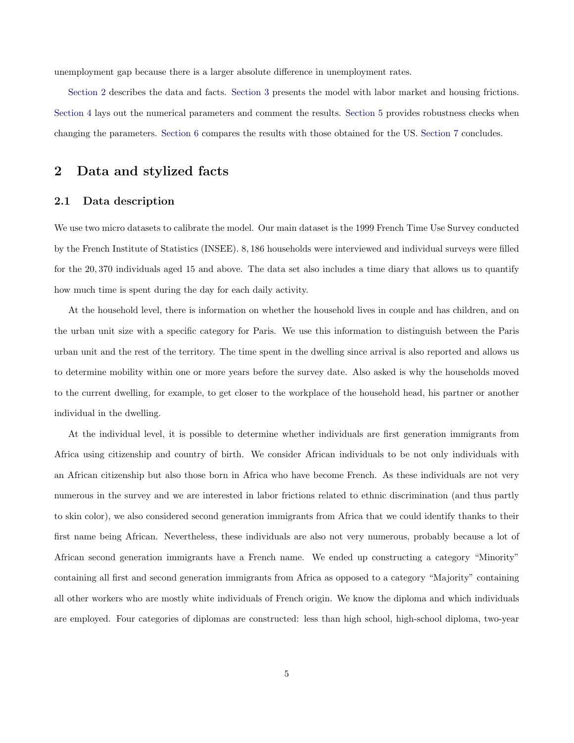unemployment gap because there is a larger absolute difference in unemployment rates.

[Section 2](#page-4-0) describes the data and facts. [Section 3](#page-10-0) presents the model with labor market and housing frictions. [Section 4](#page-16-0) lays out the numerical parameters and comment the results. [Section 5](#page-22-0) provides robustness checks when changing the parameters. [Section 6](#page-24-0) compares the results with those obtained for the US. [Section 7](#page-28-0) concludes.

## <span id="page-4-0"></span>2 Data and stylized facts

#### <span id="page-4-1"></span>2.1 Data description

We use two micro datasets to calibrate the model. Our main dataset is the 1999 French Time Use Survey conducted by the French Institute of Statistics (INSEE). 8, 186 households were interviewed and individual surveys were filled for the 20, 370 individuals aged 15 and above. The data set also includes a time diary that allows us to quantify how much time is spent during the day for each daily activity.

At the household level, there is information on whether the household lives in couple and has children, and on the urban unit size with a specific category for Paris. We use this information to distinguish between the Paris urban unit and the rest of the territory. The time spent in the dwelling since arrival is also reported and allows us to determine mobility within one or more years before the survey date. Also asked is why the households moved to the current dwelling, for example, to get closer to the workplace of the household head, his partner or another individual in the dwelling.

At the individual level, it is possible to determine whether individuals are first generation immigrants from Africa using citizenship and country of birth. We consider African individuals to be not only individuals with an African citizenship but also those born in Africa who have become French. As these individuals are not very numerous in the survey and we are interested in labor frictions related to ethnic discrimination (and thus partly to skin color), we also considered second generation immigrants from Africa that we could identify thanks to their first name being African. Nevertheless, these individuals are also not very numerous, probably because a lot of African second generation immigrants have a French name. We ended up constructing a category "Minority" containing all first and second generation immigrants from Africa as opposed to a category "Majority" containing all other workers who are mostly white individuals of French origin. We know the diploma and which individuals are employed. Four categories of diplomas are constructed: less than high school, high-school diploma, two-year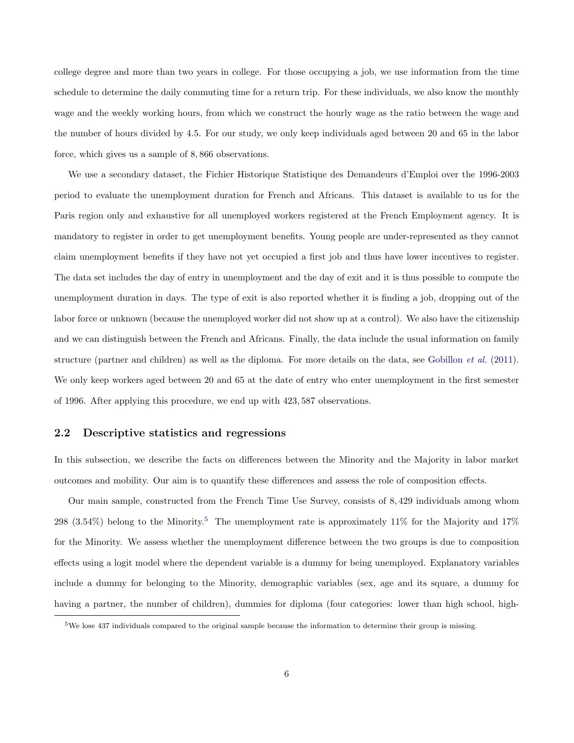college degree and more than two years in college. For those occupying a job, we use information from the time schedule to determine the daily commuting time for a return trip. For these individuals, we also know the monthly wage and the weekly working hours, from which we construct the hourly wage as the ratio between the wage and the number of hours divided by 4.5. For our study, we only keep individuals aged between 20 and 65 in the labor force, which gives us a sample of 8, 866 observations.

We use a secondary dataset, the Fichier Historique Statistique des Demandeurs d'Emploi over the 1996-2003 period to evaluate the unemployment duration for French and Africans. This dataset is available to us for the Paris region only and exhaustive for all unemployed workers registered at the French Employment agency. It is mandatory to register in order to get unemployment benefits. Young people are under-represented as they cannot claim unemployment benefits if they have not yet occupied a first job and thus have lower incentives to register. The data set includes the day of entry in unemployment and the day of exit and it is thus possible to compute the unemployment duration in days. The type of exit is also reported whether it is finding a job, dropping out of the labor force or unknown (because the unemployed worker did not show up at a control). We also have the citizenship and we can distinguish between the French and Africans. Finally, the data include the usual information on family structure (partner and children) as well as the diploma. For more details on the data, see [Gobillon](#page-32-8) *et al.* [\(2011\)](#page-32-8). We only keep workers aged between 20 and 65 at the date of entry who enter unemployment in the first semester of 1996. After applying this procedure, we end up with 423, 587 observations.

#### <span id="page-5-1"></span>2.2 Descriptive statistics and regressions

In this subsection, we describe the facts on differences between the Minority and the Majority in labor market outcomes and mobility. Our aim is to quantify these differences and assess the role of composition effects.

Our main sample, constructed from the French Time Use Survey, consists of 8, 429 individuals among whom 298 (3.[5](#page-5-0)4%) belong to the Minority.<sup>5</sup> The unemployment rate is approximately 11% for the Majority and 17% for the Minority. We assess whether the unemployment difference between the two groups is due to composition effects using a logit model where the dependent variable is a dummy for being unemployed. Explanatory variables include a dummy for belonging to the Minority, demographic variables (sex, age and its square, a dummy for having a partner, the number of children), dummies for diploma (four categories: lower than high school, high-

<span id="page-5-0"></span><sup>5</sup>We lose 437 individuals compared to the original sample because the information to determine their group is missing.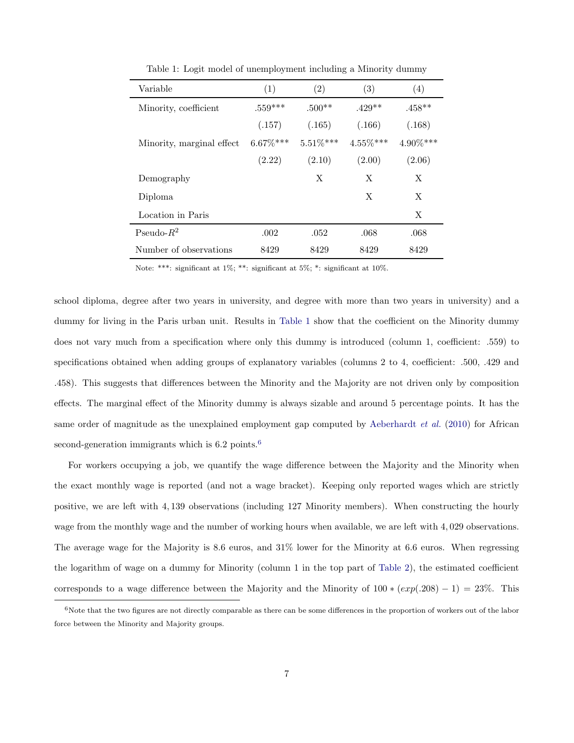| Variable                   | (1)         | (2)         | (3)         | (4)      |
|----------------------------|-------------|-------------|-------------|----------|
| Minority, coefficient      | $.559***$   | $.500**$    | $.429**$    | $.458**$ |
|                            | (.157)      | (.165)      | (.166)      | (.168)   |
| Minority, marginal effect. | $6.67\%***$ | $5.51\%***$ | $4.55\%***$ | 4.90%*** |
|                            | (2.22)      | (2.10)      | (2.00)      | (2.06)   |
| Demography                 |             | X           | X           | X        |
| Diploma                    |             |             | X           | X        |
| Location in Paris          |             |             |             | X        |
| Pseudo- $R^2$              | .002        | .052        | .068        | .068     |
| Number of observations     | 8429        | 8429        | 8429        | 8429     |

<span id="page-6-0"></span>Table 1: Logit model of unemployment including a Minority dummy

Note: \*\*\*: significant at 1%; \*\*: significant at 5%; \*: significant at 10%.

school diploma, degree after two years in university, and degree with more than two years in university) and a dummy for living in the Paris urban unit. Results in [Table 1](#page-6-0) show that the coefficient on the Minority dummy does not vary much from a specification where only this dummy is introduced (column 1, coefficient: .559) to specifications obtained when adding groups of explanatory variables (columns 2 to 4, coefficient: .500, .429 and .458). This suggests that differences between the Minority and the Majority are not driven only by composition effects. The marginal effect of the Minority dummy is always sizable and around 5 percentage points. It has the same order of magnitude as the unexplained employment gap computed by [Aeberhardt](#page-31-7) *et al.* [\(2010\)](#page-31-7) for African second-generation immigrants which is  $6.2$  $6.2$  points.<sup>6</sup>

For workers occupying a job, we quantify the wage difference between the Majority and the Minority when the exact monthly wage is reported (and not a wage bracket). Keeping only reported wages which are strictly positive, we are left with 4, 139 observations (including 127 Minority members). When constructing the hourly wage from the monthly wage and the number of working hours when available, we are left with 4, 029 observations. The average wage for the Majority is 8.6 euros, and 31% lower for the Minority at 6.6 euros. When regressing the logarithm of wage on a dummy for Minority (column 1 in the top part of [Table 2\)](#page-7-0), the estimated coefficient corresponds to a wage difference between the Majority and the Minority of  $100 * (exp(.208) - 1) = 23%$ . This

<span id="page-6-1"></span> $6$ Note that the two figures are not directly comparable as there can be some differences in the proportion of workers out of the labor force between the Minority and Majority groups.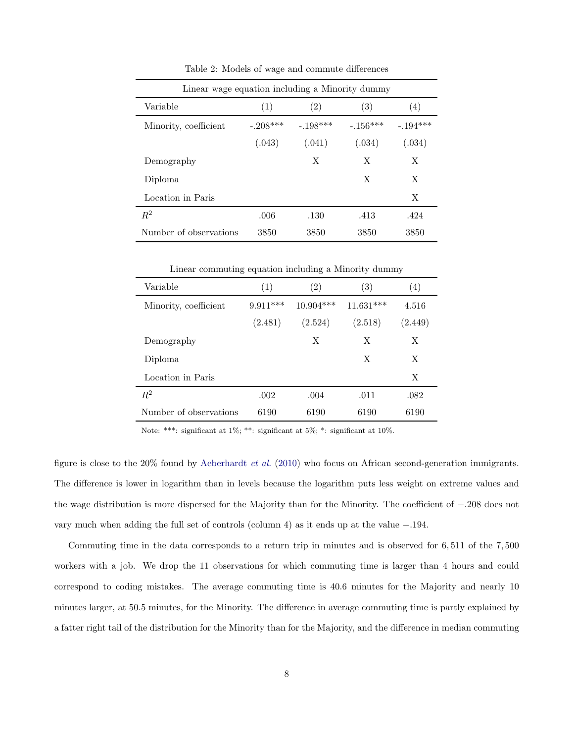| Linear wage equation including a Minority dummy |            |                   |            |            |
|-------------------------------------------------|------------|-------------------|------------|------------|
| Variable                                        | (1)        | $\left( 2\right)$ | (3)        | (4)        |
| Minority, coefficient                           | $-.208***$ | $-.198***$        | $-.156***$ | $-.194***$ |
|                                                 | (.043)     | (.041)            | (.034)     | (.034)     |
| Demography                                      |            | Х                 | X          | X          |
| Diploma                                         |            |                   | X          | X          |
| Location in Paris                               |            |                   |            | X          |
| $R^2$                                           | .006       | .130              | .413       | .424       |
| Number of observations                          | 3850       | 3850              | 3850       | 3850       |

<span id="page-7-0"></span>Table 2: Models of wage and commute differences

Linear commuting equation including a Minority dummy

| Variable               | (1)        | $\left( 2\right)$ | (3)         | $\left( 4\right)$ |
|------------------------|------------|-------------------|-------------|-------------------|
| Minority, coefficient  | $9.911***$ | $10.904***$       | $11.631***$ | 4.516             |
|                        | (2.481)    | (2.524)           | (2.518)     | (2.449)           |
| Demography             |            | X                 | X           | X                 |
| Diploma                |            |                   | X           | X                 |
| Location in Paris      |            |                   |             | Χ                 |
| $R^2$                  | .002       | .004              | .011        | .082              |
| Number of observations | 6190       | 6190              | 6190        | 6190              |

Note: \*\*\*: significant at 1%; \*\*: significant at 5%; \*: significant at 10%.

figure is close to the  $20\%$  found by [Aeberhardt](#page-31-7) *et al.* [\(2010\)](#page-31-7) who focus on African second-generation immigrants. The difference is lower in logarithm than in levels because the logarithm puts less weight on extreme values and the wage distribution is more dispersed for the Majority than for the Minority. The coefficient of −.208 does not vary much when adding the full set of controls (column 4) as it ends up at the value −.194.

Commuting time in the data corresponds to a return trip in minutes and is observed for 6, 511 of the 7, 500 workers with a job. We drop the 11 observations for which commuting time is larger than 4 hours and could correspond to coding mistakes. The average commuting time is 40.6 minutes for the Majority and nearly 10 minutes larger, at 50.5 minutes, for the Minority. The difference in average commuting time is partly explained by a fatter right tail of the distribution for the Minority than for the Majority, and the difference in median commuting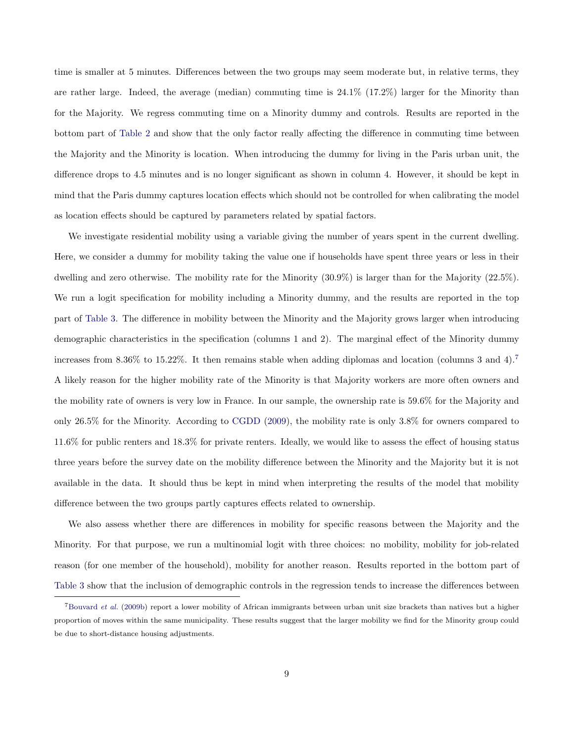time is smaller at 5 minutes. Differences between the two groups may seem moderate but, in relative terms, they are rather large. Indeed, the average (median) commuting time is 24.1% (17.2%) larger for the Minority than for the Majority. We regress commuting time on a Minority dummy and controls. Results are reported in the bottom part of [Table 2](#page-7-0) and show that the only factor really affecting the difference in commuting time between the Majority and the Minority is location. When introducing the dummy for living in the Paris urban unit, the difference drops to 4.5 minutes and is no longer significant as shown in column 4. However, it should be kept in mind that the Paris dummy captures location effects which should not be controlled for when calibrating the model as location effects should be captured by parameters related by spatial factors.

We investigate residential mobility using a variable giving the number of years spent in the current dwelling. Here, we consider a dummy for mobility taking the value one if households have spent three years or less in their dwelling and zero otherwise. The mobility rate for the Minority (30.9%) is larger than for the Majority (22.5%). We run a logit specification for mobility including a Minority dummy, and the results are reported in the top part of [Table 3.](#page-9-0) The difference in mobility between the Minority and the Majority grows larger when introducing demographic characteristics in the specification (columns 1 and 2). The marginal effect of the Minority dummy increases from 8.36% to 15.22%. It then remains stable when adding diplomas and location (columns 3 and 4).[7](#page-8-0) A likely reason for the higher mobility rate of the Minority is that Majority workers are more often owners and the mobility rate of owners is very low in France. In our sample, the ownership rate is 59.6% for the Majority and only 26.5% for the Minority. According to [CGDD](#page-31-8) [\(2009\)](#page-31-8), the mobility rate is only 3.8% for owners compared to 11.6% for public renters and 18.3% for private renters. Ideally, we would like to assess the effect of housing status three years before the survey date on the mobility difference between the Minority and the Majority but it is not available in the data. It should thus be kept in mind when interpreting the results of the model that mobility difference between the two groups partly captures effects related to ownership.

We also assess whether there are differences in mobility for specific reasons between the Majority and the Minority. For that purpose, we run a multinomial logit with three choices: no mobility, mobility for job-related reason (for one member of the household), mobility for another reason. Results reported in the bottom part of [Table 3](#page-9-0) show that the inclusion of demographic controls in the regression tends to increase the differences between

<span id="page-8-0"></span><sup>7</sup>[Bouvard](#page-31-9) et al. [\(2009b\)](#page-31-9) report a lower mobility of African immigrants between urban unit size brackets than natives but a higher proportion of moves within the same municipality. These results suggest that the larger mobility we find for the Minority group could be due to short-distance housing adjustments.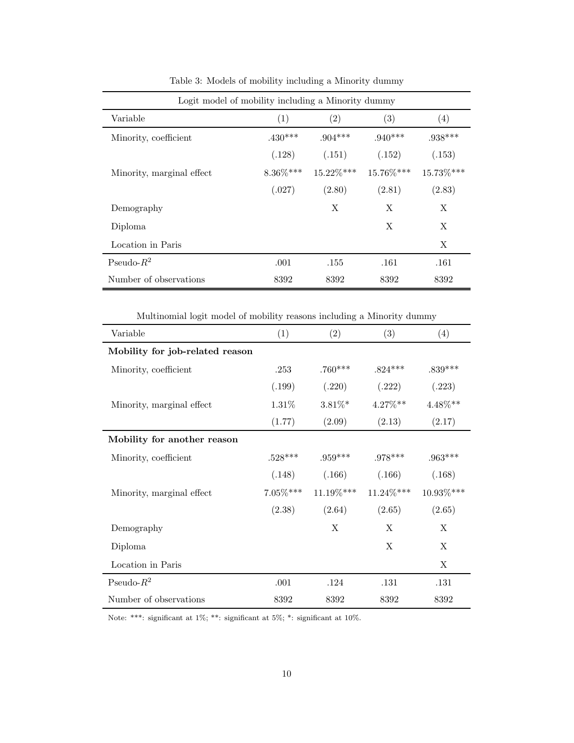| Logit model of mobility including a Minority dummy |             |              |           |           |
|----------------------------------------------------|-------------|--------------|-----------|-----------|
| Variable                                           | (1)         | (2)          | (3)       | (4)       |
| Minority, coefficient                              | $.430***$   | $.904***$    | $.940***$ | $.938***$ |
|                                                    | (.128)      | (.151)       | (.152)    | (.153)    |
| Minority, marginal effect.                         | $8.36\%***$ | $15.22\%***$ | 15.76%*** | 15.73%*** |
|                                                    | (.027)      | (2.80)       | (2.81)    | (2.83)    |
| Demography                                         |             | X            | X         | X         |
| Diploma                                            |             |              | X         | X         |
| Location in Paris                                  |             |              |           | X         |
| Pseudo- $R^2$                                      | .001        | .155         | .161      | .161      |
| Number of observations                             | 8392        | 8392         | 8392      | 8392      |

<span id="page-9-0"></span>Table 3: Models of mobility including a Minority dummy

Multinomial logit model of mobility reasons including a Minority dummy

| Variable                        | (1)         | (2)       | (3)        | (4)        |
|---------------------------------|-------------|-----------|------------|------------|
| Mobility for job-related reason |             |           |            |            |
| Minority, coefficient           | .253        | $.760***$ | $.824***$  | $.839***$  |
|                                 | (.199)      | (.220)    | (.222)     | (.223)     |
| Minority, marginal effect       | 1.31%       | $3.81\%*$ | $4.27\%**$ | $4.48\%**$ |
|                                 | (1.77)      | (2.09)    | (2.13)     | (2.17)     |
| Mobility for another reason     |             |           |            |            |
| Minority, coefficient           | $.528***$   | $.959***$ | $.978***$  | $.963***$  |
|                                 | (.148)      | (.166)    | (.166)     | (.168)     |
| Minority, marginal effect       | $7.05\%***$ | 11.19%*** | 11.24%***  | 10.93%***  |
|                                 | (2.38)      | (2.64)    | (2.65)     | (2.65)     |
| Demography                      |             | X         | X          | X          |
| Diploma                         |             |           | X          | X          |
| Location in Paris               |             |           |            | X          |
| Pseudo- $R^2$                   | .001        | .124      | .131       | .131       |
| Number of observations          | 8392        | 8392      | 8392       | 8392       |

Note: \*\*\*: significant at 1%; \*\*: significant at 5%; \*: significant at 10%.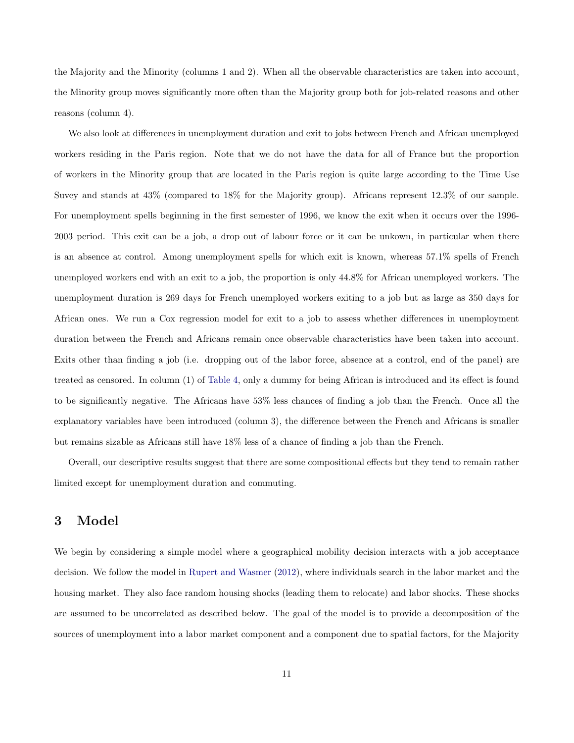the Majority and the Minority (columns 1 and 2). When all the observable characteristics are taken into account, the Minority group moves significantly more often than the Majority group both for job-related reasons and other reasons (column 4).

We also look at differences in unemployment duration and exit to jobs between French and African unemployed workers residing in the Paris region. Note that we do not have the data for all of France but the proportion of workers in the Minority group that are located in the Paris region is quite large according to the Time Use Suvey and stands at 43% (compared to 18% for the Majority group). Africans represent 12.3% of our sample. For unemployment spells beginning in the first semester of 1996, we know the exit when it occurs over the 1996- 2003 period. This exit can be a job, a drop out of labour force or it can be unkown, in particular when there is an absence at control. Among unemployment spells for which exit is known, whereas 57.1% spells of French unemployed workers end with an exit to a job, the proportion is only 44.8% for African unemployed workers. The unemployment duration is 269 days for French unemployed workers exiting to a job but as large as 350 days for African ones. We run a Cox regression model for exit to a job to assess whether differences in unemployment duration between the French and Africans remain once observable characteristics have been taken into account. Exits other than finding a job (i.e. dropping out of the labor force, absence at a control, end of the panel) are treated as censored. In column (1) of [Table 4,](#page-11-0) only a dummy for being African is introduced and its effect is found to be significantly negative. The Africans have 53% less chances of finding a job than the French. Once all the explanatory variables have been introduced (column 3), the difference between the French and Africans is smaller but remains sizable as Africans still have 18% less of a chance of finding a job than the French.

Overall, our descriptive results suggest that there are some compositional effects but they tend to remain rather limited except for unemployment duration and commuting.

### <span id="page-10-0"></span>3 Model

We begin by considering a simple model where a geographical mobility decision interacts with a job acceptance decision. We follow the model in [Rupert and Wasmer](#page-33-0) [\(2012\)](#page-33-0), where individuals search in the labor market and the housing market. They also face random housing shocks (leading them to relocate) and labor shocks. These shocks are assumed to be uncorrelated as described below. The goal of the model is to provide a decomposition of the sources of unemployment into a labor market component and a component due to spatial factors, for the Majority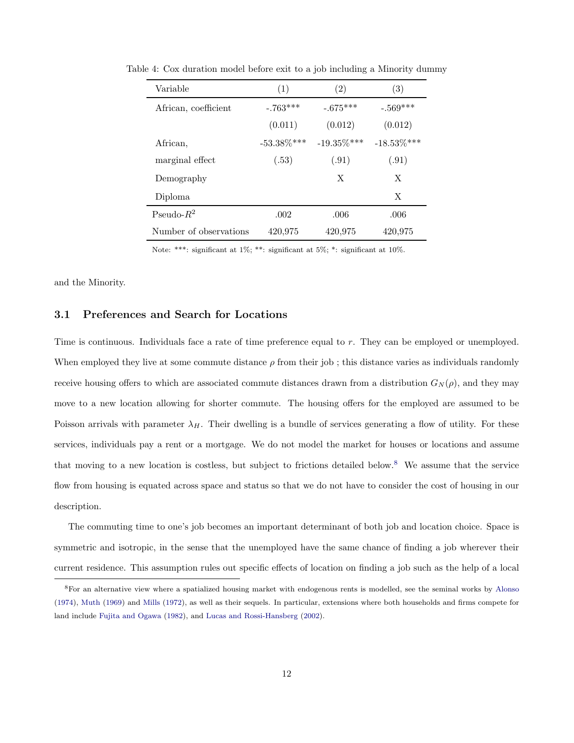<span id="page-11-0"></span>

| Variable               | (1)           | $\left( 2\right)$ | (3)            |
|------------------------|---------------|-------------------|----------------|
| African, coefficient   | $-.763***$    | $-.675***$        | $-.569***$     |
|                        | (0.011)       | (0.012)           | (0.012)        |
| African,               | $-53.38\%***$ | $-19.35\%$ ***    | $-18.53\%$ *** |
| marginal effect        | (.53)         | (.91)             | (.91)          |
| Demography             |               | X                 | X              |
| Diploma                |               |                   | X              |
| Pseudo- $R^2$          | .002          | .006              | .006           |
| Number of observations | 420,975       | 420,975           | 420,975        |

Table 4: Cox duration model before exit to a job including a Minority dummy

Note: \*\*\*: significant at 1%; \*\*: significant at 5%; \*: significant at 10%.

and the Minority.

### 3.1 Preferences and Search for Locations

Time is continuous. Individuals face a rate of time preference equal to r. They can be employed or unemployed. When employed they live at some commute distance  $\rho$  from their job; this distance varies as individuals randomly receive housing offers to which are associated commute distances drawn from a distribution  $G_N(\rho)$ , and they may move to a new location allowing for shorter commute. The housing offers for the employed are assumed to be Poisson arrivals with parameter  $\lambda_H$ . Their dwelling is a bundle of services generating a flow of utility. For these services, individuals pay a rent or a mortgage. We do not model the market for houses or locations and assume that moving to a new location is costless, but subject to frictions detailed below.<sup>[8](#page-11-1)</sup> We assume that the service flow from housing is equated across space and status so that we do not have to consider the cost of housing in our description.

The commuting time to one's job becomes an important determinant of both job and location choice. Space is symmetric and isotropic, in the sense that the unemployed have the same chance of finding a job wherever their current residence. This assumption rules out specific effects of location on finding a job such as the help of a local

<span id="page-11-1"></span><sup>8</sup>For an alternative view where a spatialized housing market with endogenous rents is modelled, see the seminal works by [Alonso](#page-31-10) [\(1974\)](#page-31-10), [Muth](#page-32-9) [\(1969\)](#page-32-9) and [Mills](#page-32-10) [\(1972\)](#page-32-10), as well as their sequels. In particular, extensions where both households and firms compete for land include [Fujita and Ogawa](#page-32-11) [\(1982\)](#page-32-11), and [Lucas and Rossi-Hansberg](#page-32-12) [\(2002\)](#page-32-12).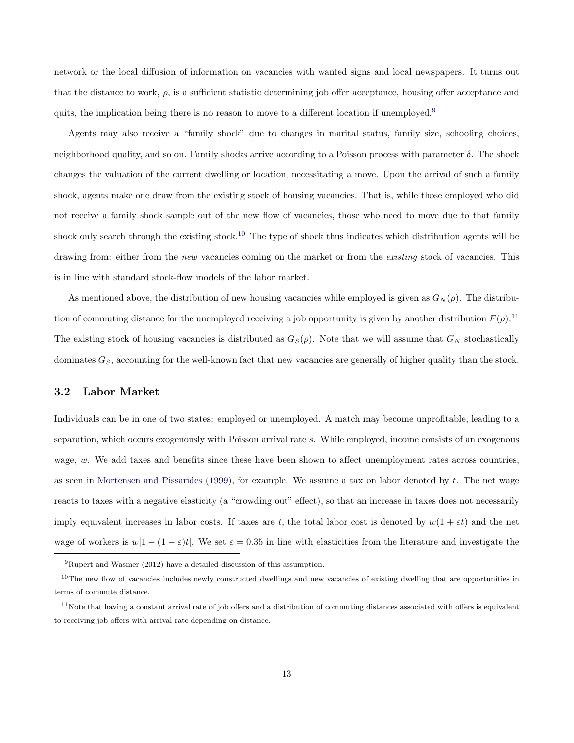network or the local diffusion of information on vacancies with wanted signs and local newspapers. It turns out that the distance to work,  $\rho$ , is a sufficient statistic determining job offer acceptance, housing offer acceptance and quits, the implication being there is no reason to move to a different location if unemployed.<sup>[9](#page-12-0)</sup>

Agents may also receive a "family shock" due to changes in marital status, family size, schooling choices, neighborhood quality, and so on. Family shocks arrive according to a Poisson process with parameter  $\delta$ . The shock changes the valuation of the current dwelling or location, necessitating a move. Upon the arrival of such a family shock, agents make one draw from the existing stock of housing vacancies. That is, while those employed who did not receive a family shock sample out of the new flow of vacancies, those who need to move due to that family shock only search through the existing stock.<sup>[10](#page-12-1)</sup> The type of shock thus indicates which distribution agents will be drawing from: either from the new vacancies coming on the market or from the existing stock of vacancies. This is in line with standard stock-flow models of the labor market.

As mentioned above, the distribution of new housing vacancies while employed is given as  $G_N(\rho)$ . The distribution of commuting distance for the unemployed receiving a job opportunity is given by another distribution  $F(\rho)$ .<sup>[11](#page-12-2)</sup> The existing stock of housing vacancies is distributed as  $G_S(\rho)$ . Note that we will assume that  $G_N$  stochastically dominates  $G_S$ , accounting for the well-known fact that new vacancies are generally of higher quality than the stock.

### <span id="page-12-3"></span>3.2 Labor Market

Individuals can be in one of two states: employed or unemployed. A match may become unprofitable, leading to a separation, which occurs exogenously with Poisson arrival rate s. While employed, income consists of an exogenous wage, w. We add taxes and benefits since these have been shown to affect unemployment rates across countries, as seen in [Mortensen and Pissarides](#page-32-13) [\(1999\)](#page-32-13), for example. We assume a tax on labor denoted by  $t$ . The net wage reacts to taxes with a negative elasticity (a "crowding out" effect), so that an increase in taxes does not necessarily imply equivalent increases in labor costs. If taxes are t, the total labor cost is denoted by  $w(1 + \varepsilon t)$  and the net wage of workers is  $w[1-(1-\varepsilon)t]$ . We set  $\varepsilon=0.35$  in line with elasticities from the literature and investigate the

<span id="page-12-1"></span><span id="page-12-0"></span><sup>9</sup>Rupert and Wasmer (2012) have a detailed discussion of this assumption.

 $10$ The new flow of vacancies includes newly constructed dwellings and new vacancies of existing dwelling that are opportunities in terms of commute distance.

<span id="page-12-2"></span> $11$ Note that having a constant arrival rate of job offers and a distribution of commuting distances associated with offers is equivalent to receiving job offers with arrival rate depending on distance.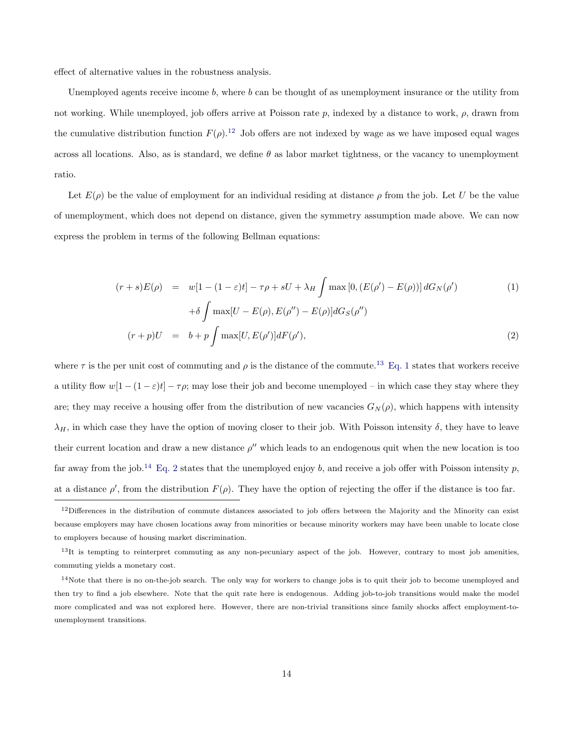effect of alternative values in the robustness analysis.

Unemployed agents receive income  $b$ , where  $b$  can be thought of as unemployment insurance or the utility from not working. While unemployed, job offers arrive at Poisson rate  $p$ , indexed by a distance to work,  $\rho$ , drawn from the cumulative distribution function  $F(\rho)$ .<sup>[12](#page-13-0)</sup> Job offers are not indexed by wage as we have imposed equal wages across all locations. Also, as is standard, we define  $\theta$  as labor market tightness, or the vacancy to unemployment ratio.

Let  $E(\rho)$  be the value of employment for an individual residing at distance  $\rho$  from the job. Let U be the value of unemployment, which does not depend on distance, given the symmetry assumption made above. We can now express the problem in terms of the following Bellman equations:

<span id="page-13-2"></span>
$$
(r+s)E(\rho) = w[1 - (1 - \varepsilon)t] - \tau \rho + sU + \lambda_H \int \max[0, (E(\rho') - E(\rho))] dG_N(\rho')
$$
  
+  $\delta \int \max[U - E(\rho), E(\rho'') - E(\rho)] dG_S(\rho'')$   

$$
(r+p)U = b + p \int \max[U, E(\rho')] dF(\rho'),
$$
 (2)

where  $\tau$  is the per unit cost of commuting and  $\rho$  is the distance of the commute.<sup>[13](#page-13-1)</sup> [Eq. 1](#page-13-2) states that workers receive a utility flow  $w[1-(1-\varepsilon)t]-\tau\rho$ ; may lose their job and become unemployed – in which case they stay where they are; they may receive a housing offer from the distribution of new vacancies  $G_N(\rho)$ , which happens with intensity  $\lambda_H$ , in which case they have the option of moving closer to their job. With Poisson intensity  $\delta$ , they have to leave their current location and draw a new distance  $\rho''$  which leads to an endogenous quit when the new location is too far away from the job.<sup>[14](#page-13-3)</sup> [Eq. 2](#page-13-2) states that the unemployed enjoy b, and receive a job offer with Poisson intensity p, at a distance  $\rho'$ , from the distribution  $F(\rho)$ . They have the option of rejecting the offer if the distance is too far.

<span id="page-13-0"></span> $12$ Differences in the distribution of commute distances associated to job offers between the Majority and the Minority can exist because employers may have chosen locations away from minorities or because minority workers may have been unable to locate close to employers because of housing market discrimination.

<span id="page-13-1"></span> $13$ It is tempting to reinterpret commuting as any non-pecuniary aspect of the job. However, contrary to most job amenities, commuting yields a monetary cost.

<span id="page-13-3"></span> $14$ Note that there is no on-the-job search. The only way for workers to change jobs is to quit their job to become unemployed and then try to find a job elsewhere. Note that the quit rate here is endogenous. Adding job-to-job transitions would make the model more complicated and was not explored here. However, there are non-trivial transitions since family shocks affect employment-tounemployment transitions.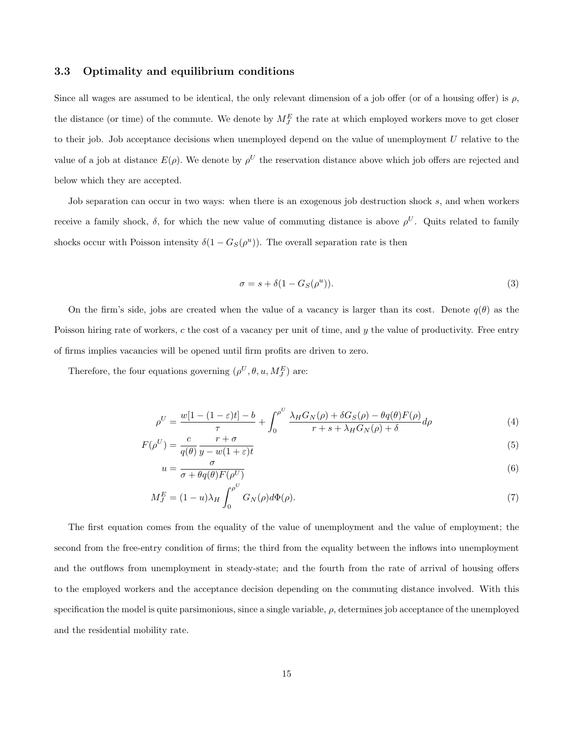### 3.3 Optimality and equilibrium conditions

Since all wages are assumed to be identical, the only relevant dimension of a job offer (or of a housing offer) is  $\rho$ , the distance (or time) of the commute. We denote by  $M_J^E$  the rate at which employed workers move to get closer to their job. Job acceptance decisions when unemployed depend on the value of unemployment U relative to the value of a job at distance  $E(\rho)$ . We denote by  $\rho^U$  the reservation distance above which job offers are rejected and below which they are accepted.

Job separation can occur in two ways: when there is an exogenous job destruction shock s, and when workers receive a family shock,  $\delta$ , for which the new value of commuting distance is above  $\rho^U$ . Quits related to family shocks occur with Poisson intensity  $\delta(1 - G_S(\rho^u))$ . The overall separation rate is then

<span id="page-14-3"></span><span id="page-14-2"></span><span id="page-14-1"></span><span id="page-14-0"></span>
$$
\sigma = s + \delta(1 - G_S(\rho^u)).\tag{3}
$$

On the firm's side, jobs are created when the value of a vacancy is larger than its cost. Denote  $q(\theta)$  as the Poisson hiring rate of workers, c the cost of a vacancy per unit of time, and y the value of productivity. Free entry of firms implies vacancies will be opened until firm profits are driven to zero.

Therefore, the four equations governing  $(\rho^U, \theta, u, M_J^E)$  are:

$$
\rho^U = \frac{w[1 - (1 - \varepsilon)t] - b}{\tau} + \int_0^{\rho^U} \frac{\lambda_H G_N(\rho) + \delta G_S(\rho) - \theta q(\theta) F(\rho)}{r + s + \lambda_H G_N(\rho) + \delta} d\rho \tag{4}
$$

$$
F(\rho^U) = \frac{c}{q(\theta)} \frac{r+\sigma}{y-w(1+\varepsilon)t}
$$
\n(5)

$$
u = \frac{\sigma}{\sigma + \theta q(\theta) F(\rho^U)}\tag{6}
$$

$$
M_J^E = (1 - u)\lambda_H \int_0^{\rho^U} G_N(\rho) d\Phi(\rho). \tag{7}
$$

The first equation comes from the equality of the value of unemployment and the value of employment; the second from the free-entry condition of firms; the third from the equality between the inflows into unemployment and the outflows from unemployment in steady-state; and the fourth from the rate of arrival of housing offers to the employed workers and the acceptance decision depending on the commuting distance involved. With this specification the model is quite parsimonious, since a single variable,  $\rho$ , determines job acceptance of the unemployed and the residential mobility rate.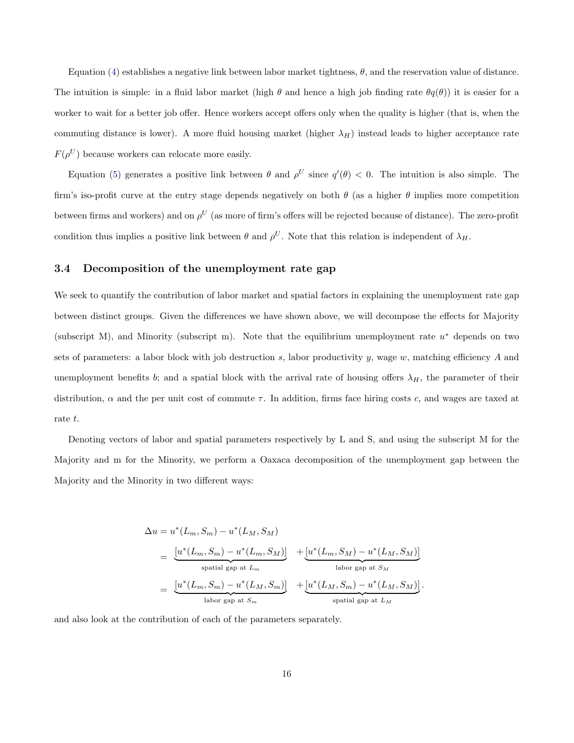Equation [\(4\)](#page-14-0) establishes a negative link between labor market tightness,  $\theta$ , and the reservation value of distance. The intuition is simple: in a fluid labor market (high  $\theta$  and hence a high job finding rate  $\theta q(\theta)$ ) it is easier for a worker to wait for a better job offer. Hence workers accept offers only when the quality is higher (that is, when the commuting distance is lower). A more fluid housing market (higher  $\lambda_H$ ) instead leads to higher acceptance rate  $F(\rho^U)$  because workers can relocate more easily.

Equation [\(5\)](#page-14-1) generates a positive link between  $\theta$  and  $\rho^U$  since  $q'(\theta) < 0$ . The intuition is also simple. The firm's iso-profit curve at the entry stage depends negatively on both  $\theta$  (as a higher  $\theta$  implies more competition between firms and workers) and on  $\rho^U$  (as more of firm's offers will be rejected because of distance). The zero-profit condition thus implies a positive link between  $\theta$  and  $\rho^U$ . Note that this relation is independent of  $\lambda_H$ .

### <span id="page-15-0"></span>3.4 Decomposition of the unemployment rate gap

We seek to quantify the contribution of labor market and spatial factors in explaining the unemployment rate gap between distinct groups. Given the differences we have shown above, we will decompose the effects for Majority (subscript M), and Minority (subscript m). Note that the equilibrium unemployment rate  $u^*$  depends on two sets of parameters: a labor block with job destruction s, labor productivity y, wage  $w$ , matching efficiency A and unemployment benefits b; and a spatial block with the arrival rate of housing offers  $\lambda_H$ , the parameter of their distribution,  $\alpha$  and the per unit cost of commute  $\tau$ . In addition, firms face hiring costs c, and wages are taxed at rate t.

Denoting vectors of labor and spatial parameters respectively by L and S, and using the subscript M for the Majority and m for the Minority, we perform a Oaxaca decomposition of the unemployment gap between the Majority and the Minority in two different ways:

$$
\Delta u = u^*(L_m, S_m) - u^*(L_M, S_M)
$$
\n
$$
= \underbrace{[u^*(L_m, S_m) - u^*(L_m, S_M)]}_{\text{spatial gap at } L_m} + \underbrace{[u^*(L_m, S_M) - u^*(L_M, S_M)]}_{\text{labor gap at } S_M}
$$
\n
$$
= \underbrace{[u^*(L_m, S_m) - u^*(L_M, S_m)]}_{\text{labor gap at } S_m} + \underbrace{[u^*(L_M, S_m) - u^*(L_M, S_M)]}_{\text{spatial gap at } L_M}.
$$

and also look at the contribution of each of the parameters separately.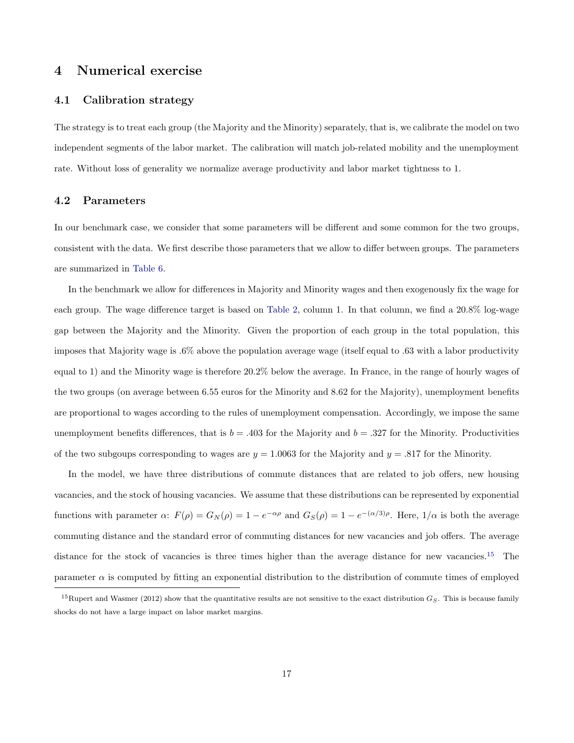### <span id="page-16-0"></span>4 Numerical exercise

### 4.1 Calibration strategy

The strategy is to treat each group (the Majority and the Minority) separately, that is, we calibrate the model on two independent segments of the labor market. The calibration will match job-related mobility and the unemployment rate. Without loss of generality we normalize average productivity and labor market tightness to 1.

#### 4.2 Parameters

In our benchmark case, we consider that some parameters will be different and some common for the two groups, consistent with the data. We first describe those parameters that we allow to differ between groups. The parameters are summarized in [Table 6.](#page-18-0)

In the benchmark we allow for differences in Majority and Minority wages and then exogenously fix the wage for each group. The wage difference target is based on [Table 2,](#page-7-0) column 1. In that column, we find a 20.8% log-wage gap between the Majority and the Minority. Given the proportion of each group in the total population, this imposes that Majority wage is .6% above the population average wage (itself equal to .63 with a labor productivity equal to 1) and the Minority wage is therefore 20.2% below the average. In France, in the range of hourly wages of the two groups (on average between 6.55 euros for the Minority and 8.62 for the Majority), unemployment benefits are proportional to wages according to the rules of unemployment compensation. Accordingly, we impose the same unemployment benefits differences, that is  $b = .403$  for the Majority and  $b = .327$  for the Minority. Productivities of the two subgoups corresponding to wages are  $y = 1.0063$  for the Majority and  $y = .817$  for the Minority.

In the model, we have three distributions of commute distances that are related to job offers, new housing vacancies, and the stock of housing vacancies. We assume that these distributions can be represented by exponential functions with parameter  $\alpha$ :  $F(\rho) = G_N(\rho) = 1 - e^{-\alpha \rho}$  and  $G_S(\rho) = 1 - e^{-(\alpha/3)\rho}$ . Here,  $1/\alpha$  is both the average commuting distance and the standard error of commuting distances for new vacancies and job offers. The average distance for the stock of vacancies is three times higher than the average distance for new vacancies.<sup>[15](#page-16-1)</sup> The parameter  $\alpha$  is computed by fitting an exponential distribution to the distribution of commute times of employed

<span id="page-16-1"></span><sup>&</sup>lt;sup>15</sup>Rupert and Wasmer (2012) show that the quantitative results are not sensitive to the exact distribution  $G_S$ . This is because family shocks do not have a large impact on labor market margins.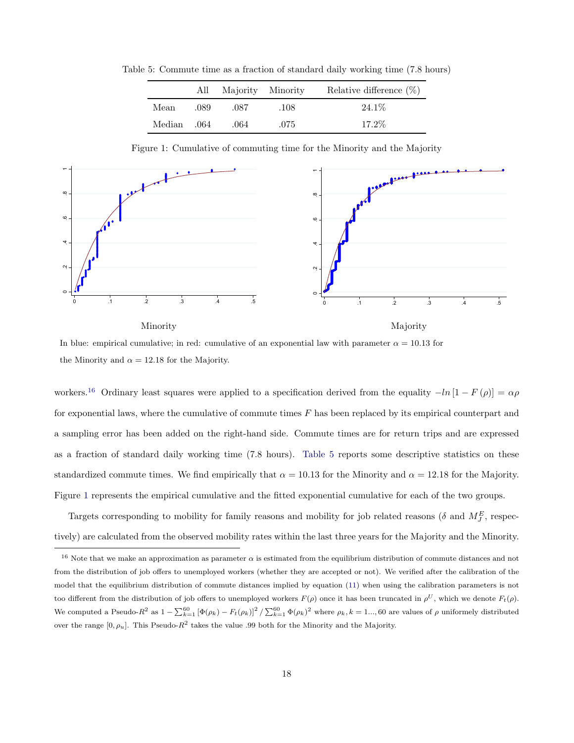Table 5: Commute time as a fraction of standard daily working time (7.8 hours)

<span id="page-17-1"></span>

|             |      | All Majority Minority |      | Relative difference $(\%)$ |
|-------------|------|-----------------------|------|----------------------------|
| Mean        | .089 | .087                  | .108 | 24.1\%                     |
| Median .064 |      | .064                  | .075 | $17.2\%$                   |

<span id="page-17-2"></span>Figure 1: Cumulative of commuting time for the Minority and the Majority



In blue: empirical cumulative; in red: cumulative of an exponential law with parameter  $\alpha = 10.13$  for the Minority and  $\alpha = 12.18$  for the Majority.

workers.<sup>[16](#page-17-0)</sup> Ordinary least squares were applied to a specification derived from the equality  $-ln[1 - F(\rho)] = \alpha \rho$ for exponential laws, where the cumulative of commute times  $F$  has been replaced by its empirical counterpart and a sampling error has been added on the right-hand side. Commute times are for return trips and are expressed as a fraction of standard daily working time (7.8 hours). [Table 5](#page-17-1) reports some descriptive statistics on these standardized commute times. We find empirically that  $\alpha = 10.13$  for the Minority and  $\alpha = 12.18$  for the Majority. Figure [1](#page-17-2) represents the empirical cumulative and the fitted exponential cumulative for each of the two groups.

Targets corresponding to mobility for family reasons and mobility for job related reasons ( $\delta$  and  $M_J^E$ , respectively) are calculated from the observed mobility rates within the last three years for the Majority and the Minority.

<span id="page-17-0"></span><sup>&</sup>lt;sup>16</sup> Note that we make an approximation as parameter  $\alpha$  is estimated from the equilibrium distribution of commute distances and not from the distribution of job offers to unemployed workers (whether they are accepted or not). We verified after the calibration of the model that the equilibrium distribution of commute distances implied by equation [\(11\)](#page-34-0) when using the calibration parameters is not too different from the distribution of job offers to unemployed workers  $F(\rho)$  once it has been truncated in  $\rho^U$ , which we denote  $F_t(\rho)$ . We computed a Pseudo- $R^2$  as  $1 - \sum_{k=1}^{60} [\Phi(\rho_k) - F_t(\rho_k)]^2 / \sum_{k=1}^{60} \Phi(\rho_k)^2$  where  $\rho_k, k = 1, \ldots, 60$  are values of  $\rho$  uniformely distributed over the range  $[0, \rho_u]$ . This Pseudo- $R^2$  takes the value .99 both for the Minority and the Majority.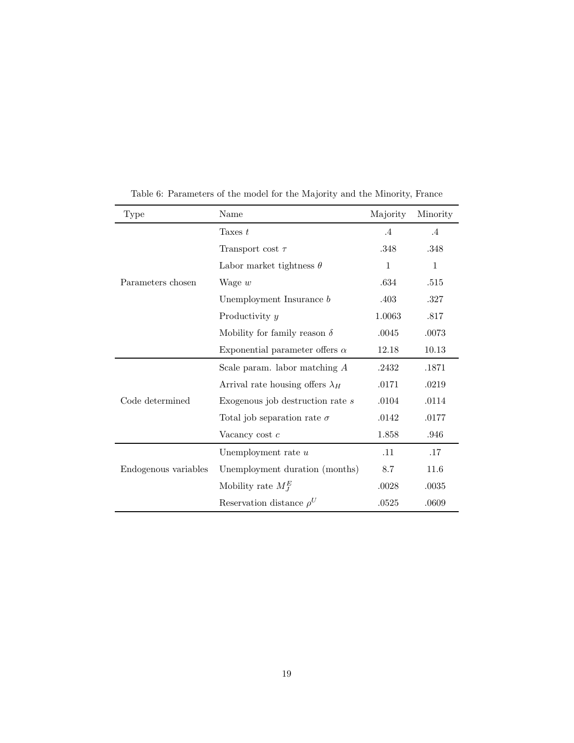| Type                 | Name                                    | Majority     | Minority  |
|----------------------|-----------------------------------------|--------------|-----------|
|                      | Taxes $t$                               | $.4\,$       | $\cdot$ 4 |
|                      | Transport cost $\tau$                   | .348         | .348      |
|                      | Labor market tightness $\theta$         | $\mathbf{1}$ | 1         |
| Parameters chosen    | Wage $w$                                | .634         | .515      |
|                      | Unemployment Insurance $b$              | .403         | .327      |
|                      | Productivity y                          | 1.0063       | .817      |
|                      | Mobility for family reason $\delta$     | .0045        | .0073     |
|                      | Exponential parameter offers $\alpha$   | 12.18        | 10.13     |
|                      | Scale param. labor matching $A$         | .2432        | .1871     |
|                      | Arrival rate housing offers $\lambda_H$ | .0171        | .0219     |
| Code determined      | Exogenous job destruction rate s        | .0104        | .0114     |
|                      | Total job separation rate $\sigma$      | .0142        | .0177     |
|                      | Vacancy cost $c$                        | 1.858        | .946      |
|                      | Unemployment rate $u$                   | .11          | .17       |
| Endogenous variables | Unemployment duration (months)          | 8.7          | 11.6      |
|                      | Mobility rate $M_I^E$                   | .0028        | .0035     |
|                      | Reservation distance $\rho^U$           | .0525        | .0609     |

<span id="page-18-0"></span>Table 6: Parameters of the model for the Majority and the Minority, France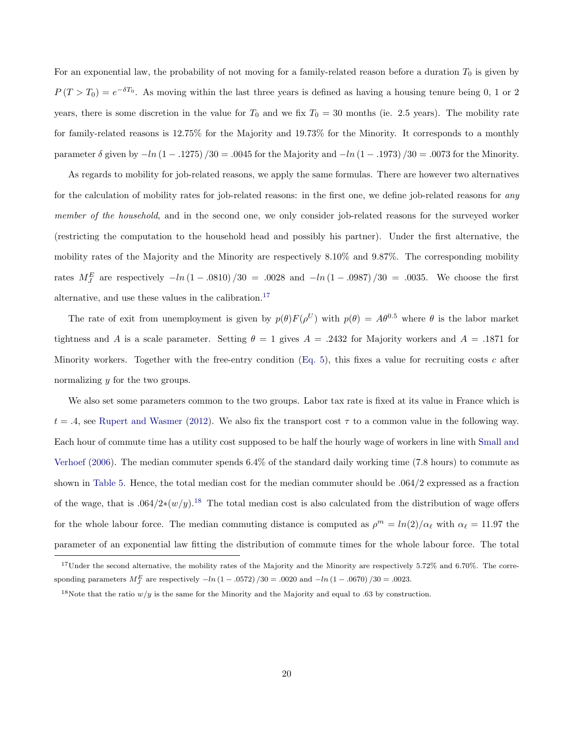For an exponential law, the probability of not moving for a family-related reason before a duration  $T_0$  is given by  $P(T>T_0) = e^{-\delta T_0}$ . As moving within the last three years is defined as having a housing tenure being 0, 1 or 2 years, there is some discretion in the value for  $T_0$  and we fix  $T_0 = 30$  months (ie. 2.5 years). The mobility rate for family-related reasons is 12.75% for the Majority and 19.73% for the Minority. It corresponds to a monthly parameter  $\delta$  given by  $-\ln(1-.1275)/30 = .0045$  for the Majority and  $-\ln(1-.1973)/30 = .0073$  for the Minority.

As regards to mobility for job-related reasons, we apply the same formulas. There are however two alternatives for the calculation of mobility rates for job-related reasons: in the first one, we define job-related reasons for any member of the household, and in the second one, we only consider job-related reasons for the surveyed worker (restricting the computation to the household head and possibly his partner). Under the first alternative, the mobility rates of the Majority and the Minority are respectively 8.10% and 9.87%. The corresponding mobility rates  $M_J^E$  are respectively  $-\ln(1-.0810)/30 = .0028$  and  $-\ln(1-.0987)/30 = .0035$ . We choose the first alternative, and use these values in the calibration.<sup>[17](#page-19-0)</sup>

The rate of exit from unemployment is given by  $p(\theta)F(\rho^U)$  with  $p(\theta) = A\theta^{0.5}$  where  $\theta$  is the labor market tightness and A is a scale parameter. Setting  $\theta = 1$  gives  $A = .2432$  for Majority workers and  $A = .1871$  for Minority workers. Together with the free-entry condition [\(Eq. 5\)](#page-14-1), this fixes a value for recruiting costs  $c$  after normalizing y for the two groups.

We also set some parameters common to the two groups. Labor tax rate is fixed at its value in France which is  $t = .4$ , see [Rupert and Wasmer](#page-33-0) [\(2012\)](#page-33-0). We also fix the transport cost  $\tau$  to a common value in the following way. Each hour of commute time has a utility cost supposed to be half the hourly wage of workers in line with [Small and](#page-33-7) [Verhoef](#page-33-7) [\(2006\)](#page-33-7). The median commuter spends 6.4% of the standard daily working time (7.8 hours) to commute as shown in [Table 5.](#page-17-1) Hence, the total median cost for the median commuter should be .064/2 expressed as a fraction of the wage, that is  $.064/2*(w/y).$ <sup>[18](#page-19-1)</sup> The total median cost is also calculated from the distribution of wage offers for the whole labour force. The median commuting distance is computed as  $\rho^m = ln(2)/\alpha_\ell$  with  $\alpha_\ell = 11.97$  the parameter of an exponential law fitting the distribution of commute times for the whole labour force. The total

<span id="page-19-0"></span><sup>&</sup>lt;sup>17</sup>Under the second alternative, the mobility rates of the Majority and the Minority are respectively 5.72% and 6.70%. The corresponding parameters  $M_{J}^{E}$  are respectively  $-ln(1-.0572)/30 = .0020$  and  $-ln(1-.0670)/30 = .0023$ .

<span id="page-19-1"></span><sup>&</sup>lt;sup>18</sup>Note that the ratio  $w/y$  is the same for the Minority and the Majority and equal to .63 by construction.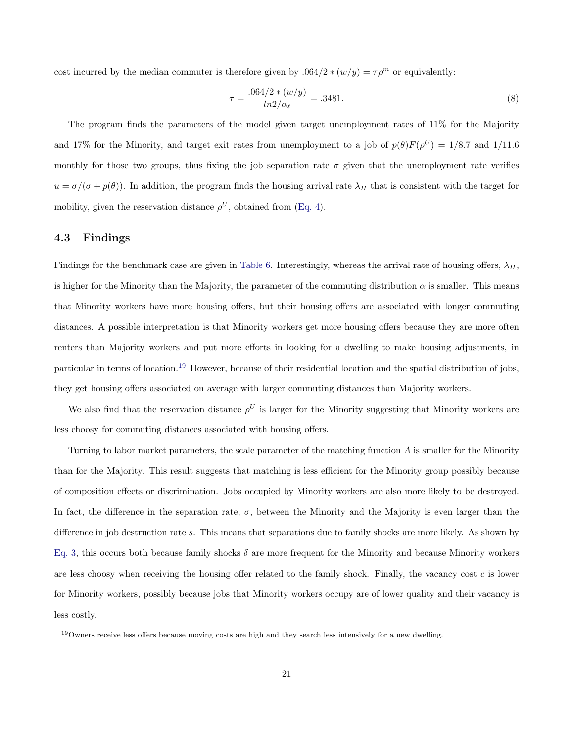cost incurred by the median commuter is therefore given by .064/2  $*(w/y) = \tau \rho^m$  or equivalently:

<span id="page-20-1"></span>
$$
\tau = \frac{.064/2 * (w/y)}{ln2/\alpha_{\ell}} = .3481. \tag{8}
$$

The program finds the parameters of the model given target unemployment rates of 11% for the Majority and 17% for the Minority, and target exit rates from unemployment to a job of  $p(\theta)F(\rho^U) = 1/8.7$  and  $1/11.6$ monthly for those two groups, thus fixing the job separation rate  $\sigma$  given that the unemployment rate verifies  $u = \sigma/(\sigma + p(\theta))$ . In addition, the program finds the housing arrival rate  $\lambda_H$  that is consistent with the target for mobility, given the reservation distance  $\rho^U$ , obtained from [\(Eq. 4\)](#page-14-0).

### <span id="page-20-2"></span>4.3 Findings

Findings for the benchmark case are given in [Table 6.](#page-18-0) Interestingly, whereas the arrival rate of housing offers,  $\lambda_H$ , is higher for the Minority than the Majority, the parameter of the commuting distribution  $\alpha$  is smaller. This means that Minority workers have more housing offers, but their housing offers are associated with longer commuting distances. A possible interpretation is that Minority workers get more housing offers because they are more often renters than Majority workers and put more efforts in looking for a dwelling to make housing adjustments, in particular in terms of location.[19](#page-20-0) However, because of their residential location and the spatial distribution of jobs, they get housing offers associated on average with larger commuting distances than Majority workers.

We also find that the reservation distance  $\rho^U$  is larger for the Minority suggesting that Minority workers are less choosy for commuting distances associated with housing offers.

Turning to labor market parameters, the scale parameter of the matching function A is smaller for the Minority than for the Majority. This result suggests that matching is less efficient for the Minority group possibly because of composition effects or discrimination. Jobs occupied by Minority workers are also more likely to be destroyed. In fact, the difference in the separation rate,  $\sigma$ , between the Minority and the Majority is even larger than the difference in job destruction rate s. This means that separations due to family shocks are more likely. As shown by [Eq. 3,](#page-14-2) this occurs both because family shocks  $\delta$  are more frequent for the Minority and because Minority workers are less choosy when receiving the housing offer related to the family shock. Finally, the vacancy cost  $c$  is lower for Minority workers, possibly because jobs that Minority workers occupy are of lower quality and their vacancy is less costly.

<span id="page-20-0"></span><sup>19</sup>Owners receive less offers because moving costs are high and they search less intensively for a new dwelling.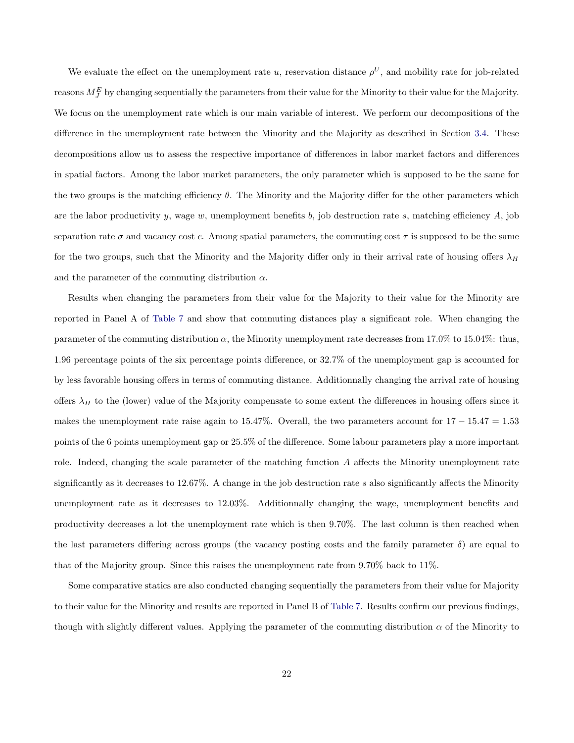We evaluate the effect on the unemployment rate u, reservation distance  $\rho^U$ , and mobility rate for job-related reasons  $M_J^E$  by changing sequentially the parameters from their value for the Minority to their value for the Majority. We focus on the unemployment rate which is our main variable of interest. We perform our decompositions of the difference in the unemployment rate between the Minority and the Majority as described in Section [3.4.](#page-15-0) These decompositions allow us to assess the respective importance of differences in labor market factors and differences in spatial factors. Among the labor market parameters, the only parameter which is supposed to be the same for the two groups is the matching efficiency  $\theta$ . The Minority and the Majority differ for the other parameters which are the labor productivity y, wage w, unemployment benefits b, job destruction rate s, matching efficiency  $A$ , job separation rate  $\sigma$  and vacancy cost c. Among spatial parameters, the commuting cost  $\tau$  is supposed to be the same for the two groups, such that the Minority and the Majority differ only in their arrival rate of housing offers  $\lambda_H$ and the parameter of the commuting distribution  $\alpha$ .

Results when changing the parameters from their value for the Majority to their value for the Minority are reported in Panel A of [Table 7](#page-23-0) and show that commuting distances play a significant role. When changing the parameter of the commuting distribution  $\alpha$ , the Minority unemployment rate decreases from 17.0% to 15.04%: thus, 1.96 percentage points of the six percentage points difference, or 32.7% of the unemployment gap is accounted for by less favorable housing offers in terms of commuting distance. Additionnally changing the arrival rate of housing offers  $\lambda_H$  to the (lower) value of the Majority compensate to some extent the differences in housing offers since it makes the unemployment rate raise again to 15.47%. Overall, the two parameters account for  $17 - 15.47 = 1.53$ points of the 6 points unemployment gap or 25.5% of the difference. Some labour parameters play a more important role. Indeed, changing the scale parameter of the matching function A affects the Minority unemployment rate significantly as it decreases to 12.67%. A change in the job destruction rate s also significantly affects the Minority unemployment rate as it decreases to 12.03%. Additionnally changing the wage, unemployment benefits and productivity decreases a lot the unemployment rate which is then 9.70%. The last column is then reached when the last parameters differing across groups (the vacancy posting costs and the family parameter  $\delta$ ) are equal to that of the Majority group. Since this raises the unemployment rate from 9.70% back to 11%.

Some comparative statics are also conducted changing sequentially the parameters from their value for Majority to their value for the Minority and results are reported in Panel B of [Table 7.](#page-23-0) Results confirm our previous findings, though with slightly different values. Applying the parameter of the commuting distribution  $\alpha$  of the Minority to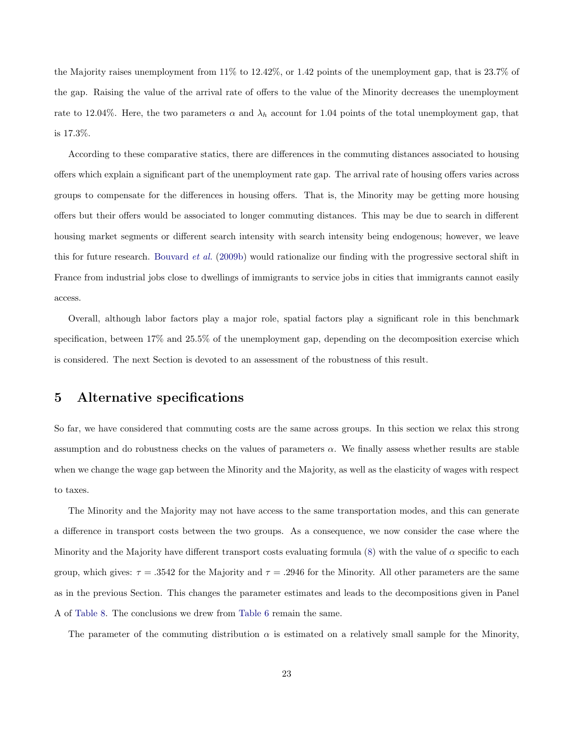the Majority raises unemployment from 11% to 12.42%, or 1.42 points of the unemployment gap, that is 23.7% of the gap. Raising the value of the arrival rate of offers to the value of the Minority decreases the unemployment rate to 12.04%. Here, the two parameters  $\alpha$  and  $\lambda_h$  account for 1.04 points of the total unemployment gap, that is 17.3%.

According to these comparative statics, there are differences in the commuting distances associated to housing offers which explain a significant part of the unemployment rate gap. The arrival rate of housing offers varies across groups to compensate for the differences in housing offers. That is, the Minority may be getting more housing offers but their offers would be associated to longer commuting distances. This may be due to search in different housing market segments or different search intensity with search intensity being endogenous; however, we leave this for future research. [Bouvard](#page-31-9) et al. [\(2009b\)](#page-31-9) would rationalize our finding with the progressive sectoral shift in France from industrial jobs close to dwellings of immigrants to service jobs in cities that immigrants cannot easily access.

Overall, although labor factors play a major role, spatial factors play a significant role in this benchmark specification, between 17% and 25.5% of the unemployment gap, depending on the decomposition exercise which is considered. The next Section is devoted to an assessment of the robustness of this result.

### <span id="page-22-0"></span>5 Alternative specifications

So far, we have considered that commuting costs are the same across groups. In this section we relax this strong assumption and do robustness checks on the values of parameters  $\alpha$ . We finally assess whether results are stable when we change the wage gap between the Minority and the Majority, as well as the elasticity of wages with respect to taxes.

The Minority and the Majority may not have access to the same transportation modes, and this can generate a difference in transport costs between the two groups. As a consequence, we now consider the case where the Minority and the Majority have different transport costs evaluating formula [\(8\)](#page-20-1) with the value of  $\alpha$  specific to each group, which gives:  $\tau = .3542$  for the Majority and  $\tau = .2946$  for the Minority. All other parameters are the same as in the previous Section. This changes the parameter estimates and leads to the decompositions given in Panel A of [Table 8.](#page-25-0) The conclusions we drew from [Table 6](#page-18-0) remain the same.

The parameter of the commuting distribution  $\alpha$  is estimated on a relatively small sample for the Minority,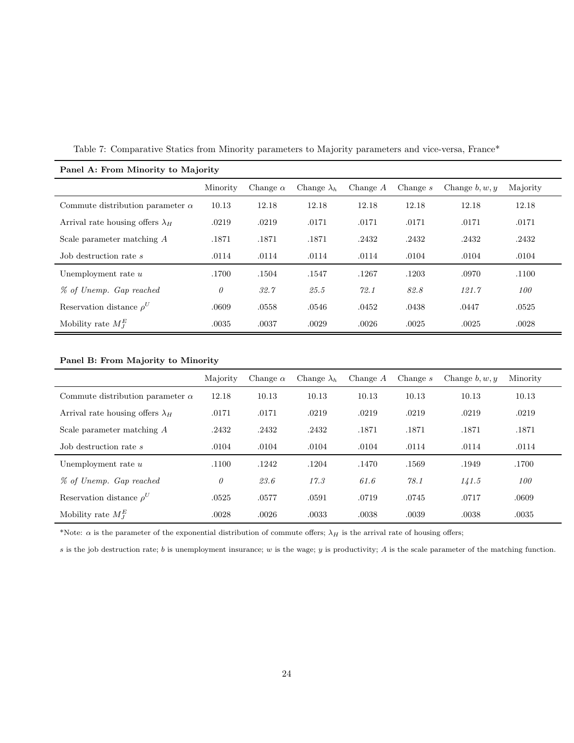| Panel A: From Minority to Majority      |          |                 |                    |            |            |                  |          |
|-----------------------------------------|----------|-----------------|--------------------|------------|------------|------------------|----------|
|                                         | Minority | Change $\alpha$ | Change $\lambda_h$ | Change $A$ | Change $s$ | Change $b, w, y$ | Majority |
| Commute distribution parameter $\alpha$ | 10.13    | 12.18           | 12.18              | 12.18      | 12.18      | 12.18            | 12.18    |
| Arrival rate housing offers $\lambda_H$ | .0219    | .0219           | .0171              | .0171      | .0171      | .0171            | .0171    |
| Scale parameter matching $A$            | .1871    | .1871           | .1871              | .2432      | .2432      | .2432            | .2432    |
| Job destruction rate s                  | .0114    | .0114           | .0114              | .0114      | .0104      | .0104            | .0104    |
| Unemployment rate $u$                   | .1700    | .1504           | .1547              | .1267      | .1203      | .0970            | .1100    |
| % of Unemp. Gap reached                 | $\theta$ | 32.7            | 25.5               | 72.1       | 82.8       | 121.7            | 100      |
| Reservation distance $\rho^U$           | .0609    | .0558           | .0546              | .0452      | .0438      | .0447            | .0525    |
| Mobility rate $M_I^E$                   | .0035    | .0037           | .0029              | .0026      | .0025      | .0025            | .0028    |

<span id="page-23-0"></span>Table 7: Comparative Statics from Minority parameters to Majority parameters and vice-versa, France\*

### Panel B: From Majority to Minority

|                                         | Majority | Change $\alpha$ | Change $\lambda_h$ | Change $A$ | Change $s$ | Change $b, w, y$ | Minority |
|-----------------------------------------|----------|-----------------|--------------------|------------|------------|------------------|----------|
| Commute distribution parameter $\alpha$ | 12.18    | 10.13           | 10.13              | 10.13      | 10.13      | 10.13            | 10.13    |
| Arrival rate housing offers $\lambda_H$ | .0171    | .0171           | .0219              | .0219      | .0219      | .0219            | .0219    |
| Scale parameter matching A              | .2432    | .2432           | .2432              | .1871      | .1871      | .1871            | .1871    |
| Job destruction rate s                  | .0104    | .0104           | .0104              | .0104      | .0114      | .0114            | .0114    |
| Unemployment rate $u$                   | .1100    | .1242           | .1204              | .1470      | .1569      | .1949            | .1700    |
| % of Unemp. Gap reached                 | $\theta$ | 23.6            | 17.3               | 61.6       | 78.1       | 141.5            | 100      |
| Reservation distance $\rho^U$           | .0525    | .0577           | .0591              | .0719      | .0745      | .0717            | .0609    |
| Mobility rate $M_I^E$                   | .0028    | .0026           | .0033              | .0038      | .0039      | .0038            | .0035    |

\*Note:  $\alpha$  is the parameter of the exponential distribution of commute offers;  $\lambda_H$  is the arrival rate of housing offers;

s is the job destruction rate; b is unemployment insurance; w is the wage; y is productivity; A is the scale parameter of the matching function.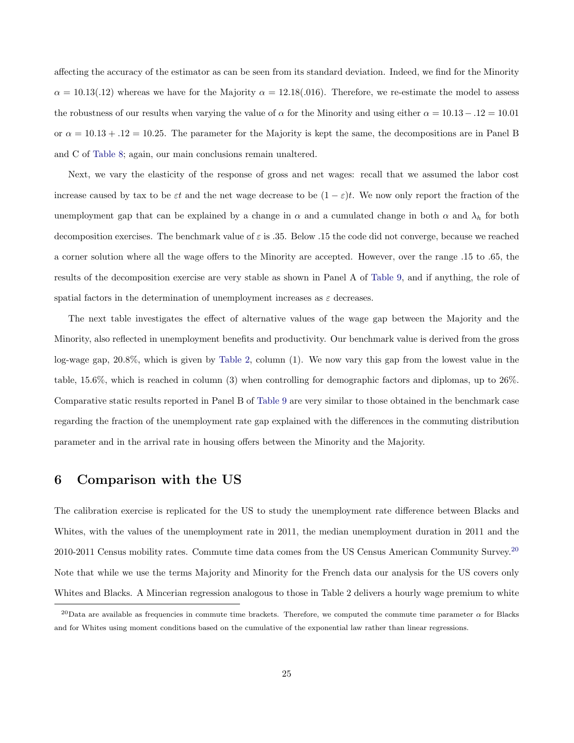affecting the accuracy of the estimator as can be seen from its standard deviation. Indeed, we find for the Minority  $\alpha = 10.13(.12)$  whereas we have for the Majority  $\alpha = 12.18(.016)$ . Therefore, we re-estimate the model to assess the robustness of our results when varying the value of  $\alpha$  for the Minority and using either  $\alpha = 10.13 - 0.12 = 10.01$ or  $\alpha = 10.13 + 0.12 = 10.25$ . The parameter for the Majority is kept the same, the decompositions are in Panel B and C of [Table 8;](#page-25-0) again, our main conclusions remain unaltered.

Next, we vary the elasticity of the response of gross and net wages: recall that we assumed the labor cost increase caused by tax to be  $\varepsilon t$  and the net wage decrease to be  $(1 - \varepsilon)t$ . We now only report the fraction of the unemployment gap that can be explained by a change in  $\alpha$  and a cumulated change in both  $\alpha$  and  $\lambda_h$  for both decomposition exercises. The benchmark value of  $\varepsilon$  is .35. Below .15 the code did not converge, because we reached a corner solution where all the wage offers to the Minority are accepted. However, over the range .15 to .65, the results of the decomposition exercise are very stable as shown in Panel A of [Table 9,](#page-26-0) and if anything, the role of spatial factors in the determination of unemployment increases as  $\varepsilon$  decreases.

The next table investigates the effect of alternative values of the wage gap between the Majority and the Minority, also reflected in unemployment benefits and productivity. Our benchmark value is derived from the gross log-wage gap, 20.8%, which is given by [Table 2,](#page-7-0) column (1). We now vary this gap from the lowest value in the table, 15.6%, which is reached in column (3) when controlling for demographic factors and diplomas, up to 26%. Comparative static results reported in Panel B of [Table 9](#page-26-0) are very similar to those obtained in the benchmark case regarding the fraction of the unemployment rate gap explained with the differences in the commuting distribution parameter and in the arrival rate in housing offers between the Minority and the Majority.

### <span id="page-24-0"></span>6 Comparison with the US

The calibration exercise is replicated for the US to study the unemployment rate difference between Blacks and Whites, with the values of the unemployment rate in 2011, the median unemployment duration in 2011 and the 2010-2011 Census mobility rates. Commute time data comes from the US Census American Community Survey.[20](#page-24-1) Note that while we use the terms Majority and Minority for the French data our analysis for the US covers only Whites and Blacks. A Mincerian regression analogous to those in Table 2 delivers a hourly wage premium to white

<span id="page-24-1"></span><sup>&</sup>lt;sup>20</sup>Data are available as frequencies in commute time brackets. Therefore, we computed the commute time parameter  $\alpha$  for Blacks and for Whites using moment conditions based on the cumulative of the exponential law rather than linear regressions.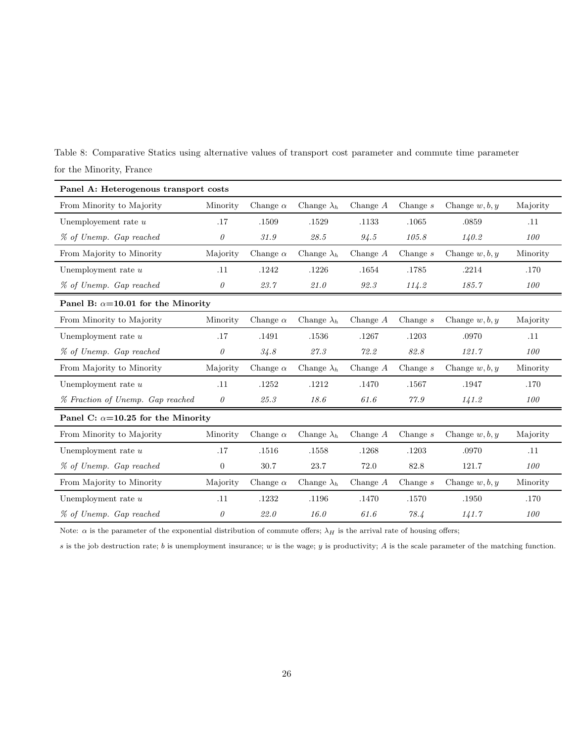<span id="page-25-0"></span>Table 8: Comparative Statics using alternative values of transport cost parameter and commute time parameter for the Minority, France

| Panel A: Heterogenous transport costs      |                |                 |                    |            |            |                  |          |
|--------------------------------------------|----------------|-----------------|--------------------|------------|------------|------------------|----------|
| From Minority to Majority                  | Minority       | Change $\alpha$ | Change $\lambda_h$ | Change $A$ | Change $s$ | Change $w, b, y$ | Majority |
| Unemployement rate $u$                     | .17            | .1509           | .1529              | .1133      | .1065      | .0859            | .11      |
| % of Unemp. Gap reached                    | 0              | 31.9            | 28.5               | 94.5       | 105.8      | 140.2            | 100      |
| From Majority to Minority                  | Majority       | Change $\alpha$ | Change $\lambda_h$ | Change A   | Change $s$ | Change $w, b, y$ | Minority |
| Unemployment rate $u$                      | .11            | .1242           | .1226              | .1654      | .1785      | .2214            | .170     |
| % of Unemp. Gap reached                    | 0              | 23.7            | 21.0               | 92.3       | 114.2      | 185.7            | 100      |
| Panel B: $\alpha = 10.01$ for the Minority |                |                 |                    |            |            |                  |          |
| From Minority to Majority                  | Minority       | Change $\alpha$ | Change $\lambda_h$ | Change $A$ | Change $s$ | Change $w, b, y$ | Majority |
| Unemployment rate $u$                      | .17            | .1491           | .1536              | .1267      | .1203      | .0970            | .11      |
| % of Unemp. Gap reached                    | 0              | 34.8            | 27.3               | 72.2       | 82.8       | 121.7            | 100      |
| From Majority to Minority                  | Majority       | Change $\alpha$ | Change $\lambda_h$ | Change $A$ | Change $s$ | Change $w, b, y$ | Minority |
| Unemployment rate $u$                      | .11            | .1252           | .1212              | .1470      | .1567      | .1947            | .170     |
| % Fraction of Unemp. Gap reached           | $\theta$       | 25.3            | 18.6               | 61.6       | 77.9       | 141.2            | 100      |
| Panel C: $\alpha$ =10.25 for the Minority  |                |                 |                    |            |            |                  |          |
| From Minority to Majority                  | Minority       | Change $\alpha$ | Change $\lambda_h$ | Change $A$ | Change $s$ | Change $w, b, y$ | Majority |
| Unemployment rate $u$                      | .17            | .1516           | .1558              | .1268      | .1203      | .0970            | .11      |
| % of Unemp. Gap reached                    | $\overline{0}$ | 30.7            | 23.7               | 72.0       | 82.8       | 121.7            | 100      |
| From Majority to Minority                  | Majority       | Change $\alpha$ | Change $\lambda_h$ | Change $A$ | Change $s$ | Change $w, b, y$ | Minority |
| Unemployment rate $u$                      | .11            | .1232           | .1196              | .1470      | .1570      | .1950            | .170     |
| % of Unemp. Gap reached                    | 0              | 22.0            | 16.0               | 61.6       | 78.4       | 141.7            | 100      |

Note:  $\alpha$  is the parameter of the exponential distribution of commute offers;  $\lambda_H$  is the arrival rate of housing offers;

 $s$  is the job destruction rate;  $b$  is unemployment insurance;  $w$  is the wage;  $y$  is productivity;  $A$  is the scale parameter of the matching function.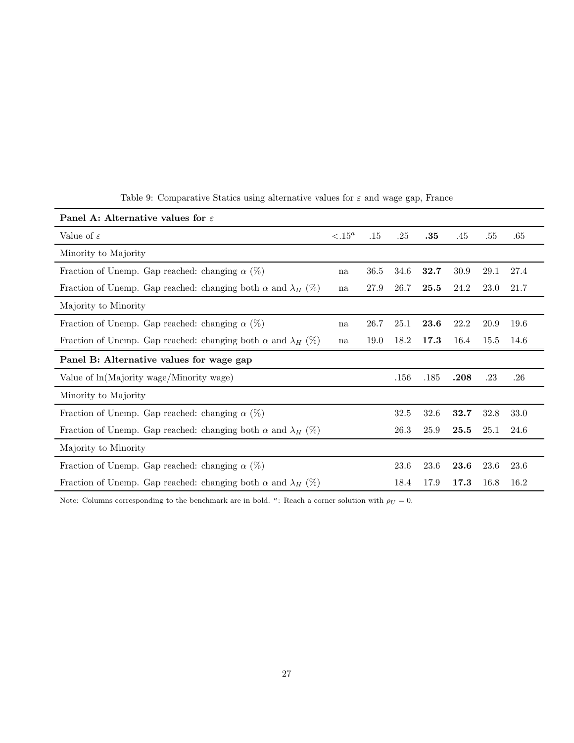| Panel A: Alternative values for $\varepsilon$                              |                 |      |      |      |      |      |      |
|----------------------------------------------------------------------------|-----------------|------|------|------|------|------|------|
| Value of $\varepsilon$                                                     | $\langle .15^a$ | .15  | .25  | .35  | .45  | .55  | .65  |
| Minority to Majority                                                       |                 |      |      |      |      |      |      |
| Fraction of Unemp. Gap reached: changing $\alpha$ (%)                      | na              | 36.5 | 34.6 | 32.7 | 30.9 | 29.1 | 27.4 |
| Fraction of Unemp. Gap reached: changing both $\alpha$ and $\lambda_H$ (%) | na              | 27.9 | 26.7 | 25.5 | 24.2 | 23.0 | 21.7 |
| Majority to Minority                                                       |                 |      |      |      |      |      |      |
| Fraction of Unemp. Gap reached: changing $\alpha$ (%)                      | na              | 26.7 | 25.1 | 23.6 | 22.2 | 20.9 | 19.6 |
| Fraction of Unemp. Gap reached: changing both $\alpha$ and $\lambda_H$ (%) | na              | 19.0 | 18.2 | 17.3 | 16.4 | 15.5 | 14.6 |
|                                                                            |                 |      |      |      |      |      |      |
| Panel B: Alternative values for wage gap                                   |                 |      |      |      |      |      |      |
| Value of $ln(Majority wage/Minority wage)$                                 |                 |      | .156 | .185 | .208 | .23  | .26  |
| Minority to Majority                                                       |                 |      |      |      |      |      |      |
| Fraction of Unemp. Gap reached: changing $\alpha$ (%)                      |                 |      | 32.5 | 32.6 | 32.7 | 32.8 | 33.0 |
| Fraction of Unemp. Gap reached: changing both $\alpha$ and $\lambda_H$ (%) |                 |      | 26.3 | 25.9 | 25.5 | 25.1 | 24.6 |
| Majority to Minority                                                       |                 |      |      |      |      |      |      |
| Fraction of Unemp. Gap reached: changing $\alpha$ (%)                      |                 |      | 23.6 | 23.6 | 23.6 | 23.6 | 23.6 |

<span id="page-26-0"></span>Table 9: Comparative Statics using alternative values for  $\varepsilon$  and wage gap, France

Note: Columns corresponding to the benchmark are in bold. <sup>a</sup>: Reach a corner solution with  $\rho_U = 0$ .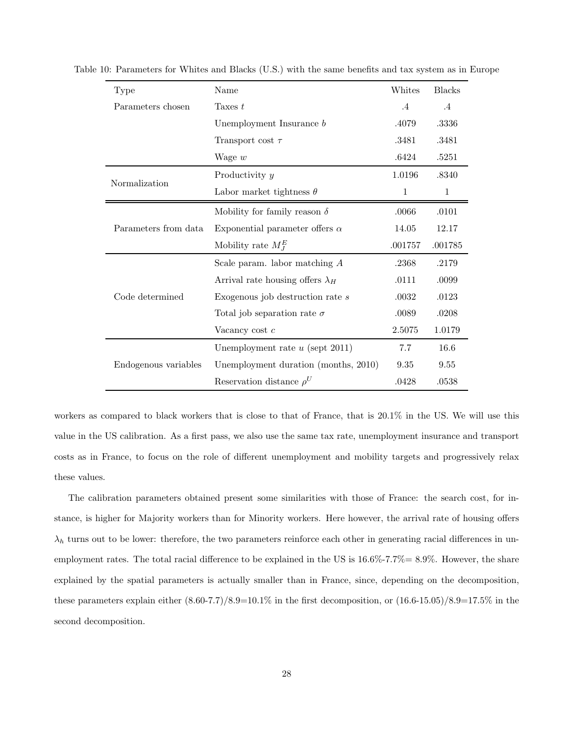| Type                 | Name                                    | Whites  | <b>Blacks</b> |
|----------------------|-----------------------------------------|---------|---------------|
| Parameters chosen    | Taxes $t$                               | $.4\,$  | $.4\,$        |
|                      | Unemployment Insurance b                | .4079   | .3336         |
|                      | Transport cost $\tau$                   | .3481   | .3481         |
|                      | Wage $w$                                | .6424   | .5251         |
| Normalization        | Productivity y                          | 1.0196  | .8340         |
|                      | Labor market tightness $\theta$         | 1       | $\mathbf{1}$  |
| Parameters from data | Mobility for family reason $\delta$     | .0066   | .0101         |
|                      | Exponential parameter offers $\alpha$   | 14.05   | 12.17         |
|                      | Mobility rate $M_I^E$                   | .001757 | .001785       |
| Code determined      | Scale param. labor matching $A$         | .2368   | .2179         |
|                      | Arrival rate housing offers $\lambda_H$ | .0111   | .0099         |
|                      | Exogenous job destruction rate $s$      | .0032   | .0123         |
|                      | Total job separation rate $\sigma$      | .0089   | .0208         |
|                      | Vacancy cost $c$                        | 2.5075  | 1.0179        |
| Endogenous variables | Unemployment rate $u$ (sept 2011)       | 7.7     | 16.6          |
|                      | Unemployment duration (months, 2010)    | 9.35    | 9.55          |
|                      | Reservation distance $\rho^U$           | .0428   | .0538         |

Table 10: Parameters for Whites and Blacks (U.S.) with the same benefits and tax system as in Europe

workers as compared to black workers that is close to that of France, that is 20.1% in the US. We will use this value in the US calibration. As a first pass, we also use the same tax rate, unemployment insurance and transport costs as in France, to focus on the role of different unemployment and mobility targets and progressively relax these values.

The calibration parameters obtained present some similarities with those of France: the search cost, for instance, is higher for Majority workers than for Minority workers. Here however, the arrival rate of housing offers  $\lambda_h$  turns out to be lower: therefore, the two parameters reinforce each other in generating racial differences in unemployment rates. The total racial difference to be explained in the US is 16.6%-7.7%= 8.9%. However, the share explained by the spatial parameters is actually smaller than in France, since, depending on the decomposition, these parameters explain either  $(8.60-7.7)/8.9=10.1\%$  in the first decomposition, or  $(16.6-15.05)/8.9=17.5\%$  in the second decomposition.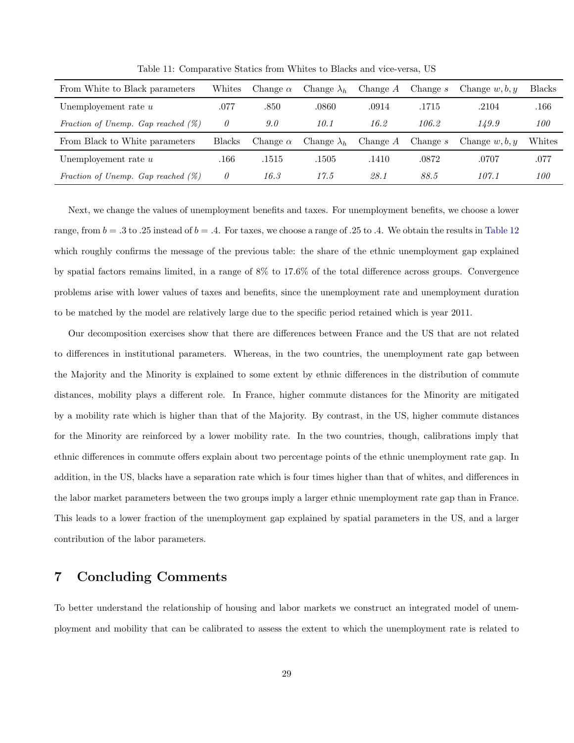| From White to Black parameters        | Whites        | Change $\alpha$ | Change $\lambda_h$ | Change $A$ | Change s   | Change $w, b, y$ | <b>Blacks</b> |
|---------------------------------------|---------------|-----------------|--------------------|------------|------------|------------------|---------------|
| Unemployement rate $u$                | .077          | .850            | .0860              | .0914      | .1715      | .2104            | .166          |
| Fraction of Unemp. Gap reached $(\%)$ | 0             | 9.0             | 10.1               | 16.2       | 106.2      | 149.9            | 100           |
| From Black to White parameters        | <b>Blacks</b> | Change $\alpha$ | Change $\lambda_h$ | Change $A$ | Change $s$ | Change $w, b, y$ | Whites        |
| Unemployement rate $u$                | .166          | .1515           | .1505              | .1410      | .0872      | .0707            | .077          |
| Fraction of Unemp. Gap reached $(\%)$ | 0             | 16.3            | 17.5               | 28.1       | 88.5       | 107.1            | 100           |

Table 11: Comparative Statics from Whites to Blacks and vice-versa, US

Next, we change the values of unemployment benefits and taxes. For unemployment benefits, we choose a lower range, from  $b = .3$  to  $.25$  instead of  $b = .4$ . For taxes, we choose a range of  $.25$  to  $.4$ . We obtain the results in [Table 12](#page-29-0) which roughly confirms the message of the previous table: the share of the ethnic unemployment gap explained by spatial factors remains limited, in a range of 8% to 17.6% of the total difference across groups. Convergence problems arise with lower values of taxes and benefits, since the unemployment rate and unemployment duration to be matched by the model are relatively large due to the specific period retained which is year 2011.

Our decomposition exercises show that there are differences between France and the US that are not related to differences in institutional parameters. Whereas, in the two countries, the unemployment rate gap between the Majority and the Minority is explained to some extent by ethnic differences in the distribution of commute distances, mobility plays a different role. In France, higher commute distances for the Minority are mitigated by a mobility rate which is higher than that of the Majority. By contrast, in the US, higher commute distances for the Minority are reinforced by a lower mobility rate. In the two countries, though, calibrations imply that ethnic differences in commute offers explain about two percentage points of the ethnic unemployment rate gap. In addition, in the US, blacks have a separation rate which is four times higher than that of whites, and differences in the labor market parameters between the two groups imply a larger ethnic unemployment rate gap than in France. This leads to a lower fraction of the unemployment gap explained by spatial parameters in the US, and a larger contribution of the labor parameters.

## <span id="page-28-0"></span>7 Concluding Comments

To better understand the relationship of housing and labor markets we construct an integrated model of unemployment and mobility that can be calibrated to assess the extent to which the unemployment rate is related to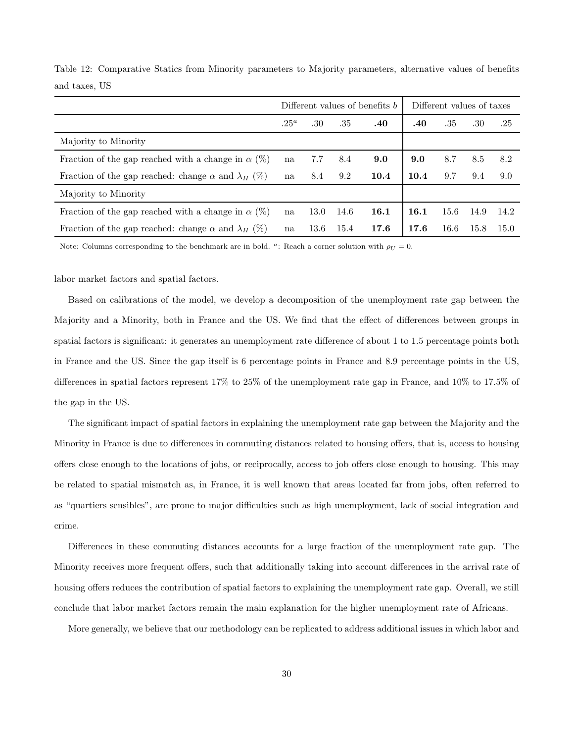|                                                                  | Different values of benefits b |      |      |      | Different values of taxes |      |      |      |
|------------------------------------------------------------------|--------------------------------|------|------|------|---------------------------|------|------|------|
|                                                                  | $.25^a$                        | .30  | .35  | .40  | .40                       | .35  | .30  | .25  |
| Majority to Minority                                             |                                |      |      |      |                           |      |      |      |
| Fraction of the gap reached with a change in $\alpha$ (%)        | na                             | 7.7  | 8.4  | 9.0  | 9.0                       | 8.7  | 8.5  | 8.2  |
| Fraction of the gap reached: change $\alpha$ and $\lambda_H$ (%) | na                             | 8.4  | 9.2  | 10.4 | 10.4                      | 9.7  | 9.4  | 9.0  |
| Majority to Minority                                             |                                |      |      |      |                           |      |      |      |
| Fraction of the gap reached with a change in $\alpha$ (%)        |                                | 13.0 | 14.6 | 16.1 | 16.1                      | 15.6 | 14.9 | 14.2 |
| Fraction of the gap reached: change $\alpha$ and $\lambda_H$ (%) |                                | 13.6 | 15.4 | 17.6 | 17.6                      | 16.6 | 15.8 | 15.0 |

<span id="page-29-0"></span>Table 12: Comparative Statics from Minority parameters to Majority parameters, alternative values of benefits and taxes, US

Note: Columns corresponding to the benchmark are in bold. <sup>a</sup>: Reach a corner solution with  $\rho_U = 0$ .

labor market factors and spatial factors.

Based on calibrations of the model, we develop a decomposition of the unemployment rate gap between the Majority and a Minority, both in France and the US. We find that the effect of differences between groups in spatial factors is significant: it generates an unemployment rate difference of about 1 to 1.5 percentage points both in France and the US. Since the gap itself is 6 percentage points in France and 8.9 percentage points in the US, differences in spatial factors represent 17% to 25% of the unemployment rate gap in France, and 10% to 17.5% of the gap in the US.

The significant impact of spatial factors in explaining the unemployment rate gap between the Majority and the Minority in France is due to differences in commuting distances related to housing offers, that is, access to housing offers close enough to the locations of jobs, or reciprocally, access to job offers close enough to housing. This may be related to spatial mismatch as, in France, it is well known that areas located far from jobs, often referred to as "quartiers sensibles", are prone to major difficulties such as high unemployment, lack of social integration and crime.

Differences in these commuting distances accounts for a large fraction of the unemployment rate gap. The Minority receives more frequent offers, such that additionally taking into account differences in the arrival rate of housing offers reduces the contribution of spatial factors to explaining the unemployment rate gap. Overall, we still conclude that labor market factors remain the main explanation for the higher unemployment rate of Africans.

More generally, we believe that our methodology can be replicated to address additional issues in which labor and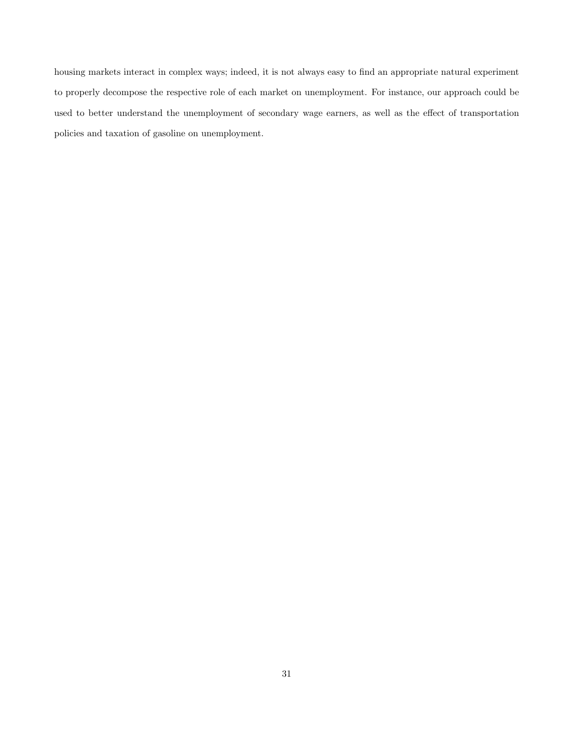housing markets interact in complex ways; indeed, it is not always easy to find an appropriate natural experiment to properly decompose the respective role of each market on unemployment. For instance, our approach could be used to better understand the unemployment of secondary wage earners, as well as the effect of transportation policies and taxation of gasoline on unemployment.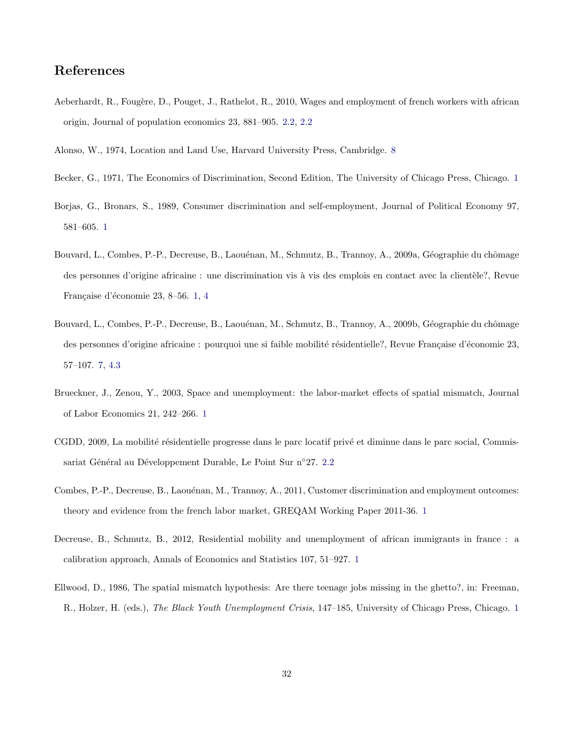## References

<span id="page-31-7"></span>Aeberhardt, R., Fougère, D., Pouget, J., Rathelot, R., 2010, Wages and employment of french workers with african origin, Journal of population economics 23, 881–905. [2.2,](#page-5-1) [2.2](#page-6-0)

<span id="page-31-10"></span><span id="page-31-1"></span>Alonso, W., 1974, Location and Land Use, Harvard University Press, Cambridge. [8](#page-11-1)

- Becker, G., 1971, The Economics of Discrimination, Second Edition, The University of Chicago Press, Chicago. [1](#page-1-1)
- <span id="page-31-2"></span>Borjas, G., Bronars, S., 1989, Consumer discrimination and self-employment, Journal of Political Economy 97, 581–605. [1](#page-1-1)
- <span id="page-31-6"></span>Bouvard, L., Combes, P.-P., Decreuse, B., Laouénan, M., Schmutz, B., Trannoy, A., 2009a, Géographie du chômage des personnes d'origine africaine : une discrimination vis à vis des emplois en contact avec la clientèle?, Revue Française d'économie 23, 8–56. [1,](#page-1-1) [4](#page-3-1)
- <span id="page-31-9"></span>Bouvard, L., Combes, P.-P., Decreuse, B., Laouénan, M., Schmutz, B., Trannoy, A., 2009b, Géographie du chômage des personnes d'origine africaine : pourquoi une si faible mobilité résidentielle?, Revue Française d'économie 23, 57–107. [7,](#page-8-0) [4.3](#page-20-2)
- <span id="page-31-4"></span>Brueckner, J., Zenou, Y., 2003, Space and unemployment: the labor-market effects of spatial mismatch, Journal of Labor Economics 21, 242–266. [1](#page-1-1)
- <span id="page-31-8"></span>CGDD, 2009, La mobilité résidentielle progresse dans le parc locatif privé et diminue dans le parc social, Commis-sariat Général au Développement Durable, Le Point Sur n°27. [2.2](#page-7-0)
- <span id="page-31-3"></span>Combes, P.-P., Decreuse, B., Laouénan, M., Trannoy, A., 2011, Customer discrimination and employment outcomes: theory and evidence from the french labor market, GREQAM Working Paper 2011-36. [1](#page-1-1)
- <span id="page-31-5"></span>Decreuse, B., Schmutz, B., 2012, Residential mobility and unemployment of african immigrants in france : a calibration approach, Annals of Economics and Statistics 107, 51–927. [1](#page-1-1)
- <span id="page-31-0"></span>Ellwood, D., 1986, The spatial mismatch hypothesis: Are there teenage jobs missing in the ghetto?, in: Freeman, R., Holzer, H. (eds.), The Black Youth Unemployment Crisis, [1](#page-1-1)47–185, University of Chicago Press, Chicago. 1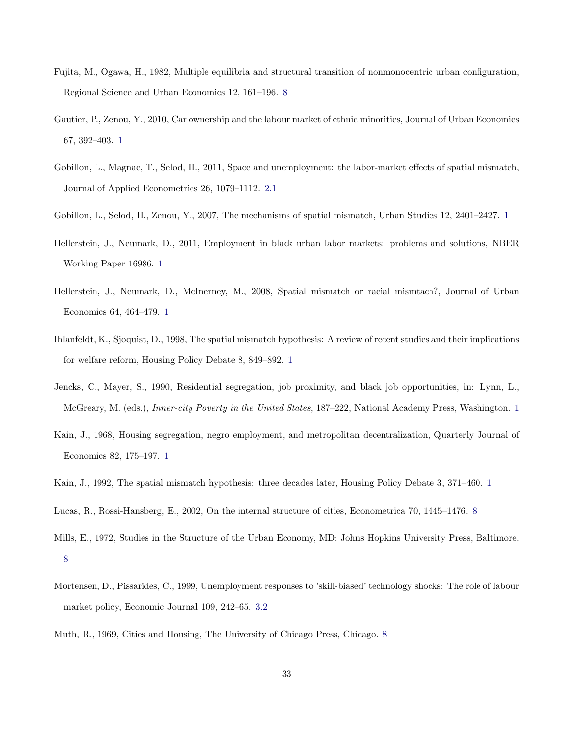- <span id="page-32-11"></span>Fujita, M., Ogawa, H., 1982, Multiple equilibria and structural transition of nonmonocentric urban configuration, Regional Science and Urban Economics 12, 161–196. [8](#page-11-1)
- <span id="page-32-6"></span>Gautier, P., Zenou, Y., 2010, Car ownership and the labour market of ethnic minorities, Journal of Urban Economics 67, 392–403. [1](#page-1-1)
- <span id="page-32-8"></span>Gobillon, L., Magnac, T., Selod, H., 2011, Space and unemployment: the labor-market effects of spatial mismatch, Journal of Applied Econometrics 26, 1079–1112. [2.1](#page-4-1)
- <span id="page-32-5"></span>Gobillon, L., Selod, H., Zenou, Y., 2007, The mechanisms of spatial mismatch, Urban Studies 12, 2401–2427. [1](#page-1-0)
- <span id="page-32-4"></span>Hellerstein, J., Neumark, D., 2011, Employment in black urban labor markets: problems and solutions, NBER Working Paper 16986. [1](#page-1-0)
- <span id="page-32-7"></span>Hellerstein, J., Neumark, D., McInerney, M., 2008, Spatial mismatch or racial mismtach?, Journal of Urban Economics 64, 464–479. [1](#page-1-1)
- <span id="page-32-3"></span>Ihlanfeldt, K., Sjoquist, D., 1998, The spatial mismatch hypothesis: A review of recent studies and their implications for welfare reform, Housing Policy Debate 8, 849–892. [1](#page-1-0)
- <span id="page-32-1"></span>Jencks, C., Mayer, S., 1990, Residential segregation, job proximity, and black job opportunities, in: Lynn, L., McGreary, M. (eds.), *Inner-city Poverty in the United States*, [1](#page-1-0)87–222, National Academy Press, Washington. 1
- <span id="page-32-0"></span>Kain, J., 1968, Housing segregation, negro employment, and metropolitan decentralization, Quarterly Journal of Economics 82, 175–197. [1](#page-1-1)
- <span id="page-32-12"></span><span id="page-32-2"></span>Kain, J., 1992, The spatial mismatch hypothesis: three decades later, Housing Policy Debate 3, 371–460. [1](#page-1-0)
- Lucas, R., Rossi-Hansberg, E., 2002, On the internal structure of cities, Econometrica 70, 1445–1476. [8](#page-11-1)
- <span id="page-32-10"></span>Mills, E., 1972, Studies in the Structure of the Urban Economy, MD: Johns Hopkins University Press, Baltimore. [8](#page-11-1)
- <span id="page-32-13"></span>Mortensen, D., Pissarides, C., 1999, Unemployment responses to 'skill-biased' technology shocks: The role of labour market policy, Economic Journal 109, 242–65. [3.2](#page-12-3)
- <span id="page-32-9"></span>Muth, R., 1969, Cities and Housing, The University of Chicago Press, Chicago. [8](#page-11-1)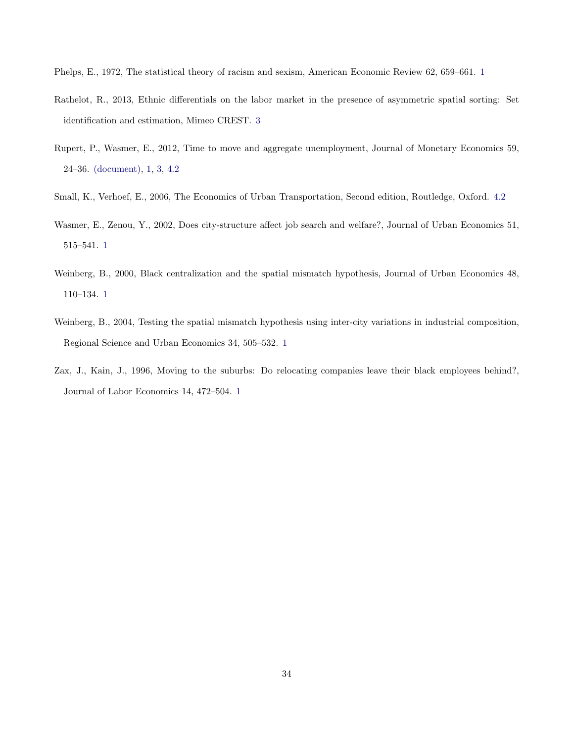<span id="page-33-1"></span>Phelps, E., 1972, The statistical theory of racism and sexism, American Economic Review 62, 659–661. [1](#page-1-1)

- <span id="page-33-6"></span>Rathelot, R., 2013, Ethnic differentials on the labor market in the presence of asymmetric spatial sorting: Set identification and estimation, Mimeo CREST. [3](#page-3-0)
- <span id="page-33-0"></span>Rupert, P., Wasmer, E., 2012, Time to move and aggregate unemployment, Journal of Monetary Economics 59, 24–36. [\(document\),](#page-0-0) [1,](#page-1-1) [3,](#page-10-0) [4.2](#page-18-0)
- <span id="page-33-7"></span>Small, K., Verhoef, E., 2006, The Economics of Urban Transportation, Second edition, Routledge, Oxford. [4.2](#page-18-0)
- <span id="page-33-3"></span>Wasmer, E., Zenou, Y., 2002, Does city-structure affect job search and welfare?, Journal of Urban Economics 51, 515–541. [1](#page-1-1)
- <span id="page-33-4"></span>Weinberg, B., 2000, Black centralization and the spatial mismatch hypothesis, Journal of Urban Economics 48, 110–134. [1](#page-1-1)
- <span id="page-33-5"></span>Weinberg, B., 2004, Testing the spatial mismatch hypothesis using inter-city variations in industrial composition, Regional Science and Urban Economics 34, 505–532. [1](#page-1-1)
- <span id="page-33-2"></span>Zax, J., Kain, J., 1996, Moving to the suburbs: Do relocating companies leave their black employees behind?, Journal of Labor Economics 14, 472–504. [1](#page-1-1)